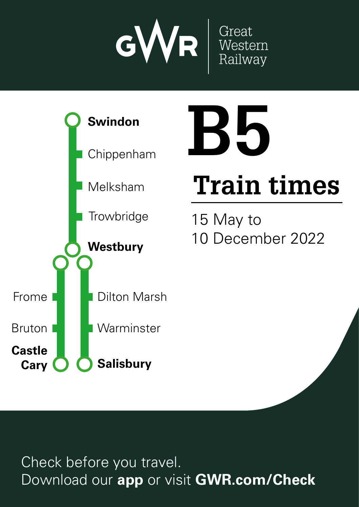



# **Train times**

**B5**

15 May to 10 December 2022

Check before you travel. Download our **app** or visit **GWR.com/Check**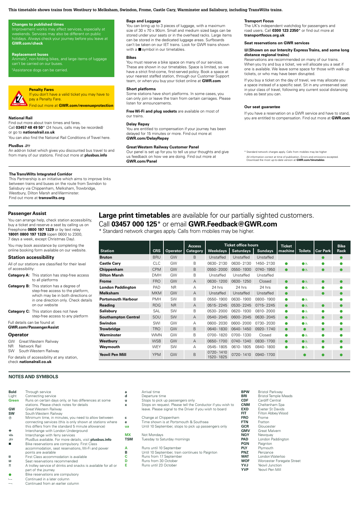# **This timetable shows trains from Westbury to Melksham, Swindon, Frome, Castle Cary, Warminster and Salisbury, including TransWilts trains.**

# **Changes to published times**

Improvement works may affect services, especially at<br>weekends. Services may also be different on public **GWR.com/check** 

### **Replacement buses**

Animals<sup>t</sup>, non-folding bikes, and large items of luggage can't be carried on our buse.

h Assistance dogs can be carried.

### **Penalty Fares** If you don't have a valid ticket you may have to

pay a Penalty Fare. Find out more at **GWR.com/revenueprotection GWR.com/contact**

### **National Rail**

Find out more about train times and fares. Call **03457 48 49 50**\* (24 hours, calls may be recorded) or go to **nationalrail.co.uk** <mark>en</mark><br>Tf <mark>ord</mark><br>de<br>av times.<br>Search<br>Search <mark>m/</mark><br>Peshar<br>Download our and checkets and checks and computer<br>aim af and at<br>at<br>and best miss out of the miss of the contract of the special deals the mission of the mission of the mission of the mission of the mission of the mission of the mission of the mission of the mission of the mission of the missi

or go to **nunonal allocate**<br>You can also find the National Rail Conditions of Travel here.

### **PlusBus** ¬

An add-on ticket which gives you discounted bus travel to and from many of our stations. Find out more at **plusbus.info** o<br>bi<br>D**ail**y ick<br>m<br>... dwr<br>BS<br>...

# **The TransWilts Integrated Corridor**

This Partnership is an initiative which aims to improve links between trains and buses on the route from Swindon to Salisbury via Chippenham, Melksham, Trowbridge, Westbury, Dilton Marsh and Warminster.<br>Find out more at **transwilts.org FERING STAND STAND STAND STAND STAND STAND STAND STAND STAND ON STAND STAND STAND STAND STAND STAND STAND STAND STAND STAND STAND STAND STAND STAND STAND STAND STAND STAND STAND STAND STAND STAND STAND STAND STAND STAND S** 

### **Passenger Assist**

You can arrange help, check station accessibility, buy a ticket and reserve a seat by calling us on Freephone **0800 197 1329** or by text relay **18001 0800 197 1329** (open 0600 to 2300, 7 days a week, except Christmas Day).

You may book assistance by completing the online booking form available on our website.

# **Station accessibility**

|                                                                                                                                                                                      | All of our stations are classified for their level<br>of accessibility:           |  |  |  |  |  |  |  |  |  |  |  |
|--------------------------------------------------------------------------------------------------------------------------------------------------------------------------------------|-----------------------------------------------------------------------------------|--|--|--|--|--|--|--|--|--|--|--|
|                                                                                                                                                                                      | <b>Category A:</b> This station has step-free access<br>to all platforms          |  |  |  |  |  |  |  |  |  |  |  |
| <b>Category B:</b> This station has a degree of<br>step-free access to the platform,<br>which may be in both directions or<br>in one direction only. Check details<br>on our website |                                                                                   |  |  |  |  |  |  |  |  |  |  |  |
|                                                                                                                                                                                      | <b>Category C:</b> This station does not have<br>step-free access to any platform |  |  |  |  |  |  |  |  |  |  |  |
|                                                                                                                                                                                      | Full details can be found at<br><b>GWR.com/PassengerAssist</b>                    |  |  |  |  |  |  |  |  |  |  |  |
| <b>Operator</b>                                                                                                                                                                      |                                                                                   |  |  |  |  |  |  |  |  |  |  |  |
| GW                                                                                                                                                                                   | Great Western Railway                                                             |  |  |  |  |  |  |  |  |  |  |  |

### NR Network Rail South Western Railway For details of accessibility at any station,

check **nationalrail.co.uk**

### **NOTES AND SYMBOLS**

| <b>Bold</b><br>Light | Through service<br>Connecting service                                                             | a<br>d    |
|----------------------|---------------------------------------------------------------------------------------------------|-----------|
| <b>Green</b>         | Runs on certain days only, or has differences at some<br>stations. Please check notes for details | u<br>x    |
| GW                   | Great Western Railway                                                                             |           |
| <b>SW</b>            | South Western Railway                                                                             |           |
| $^\circledR$         | Minimum time, in minutes, you need to allow between                                               | c         |
|                      | connecting services (this is only shown at stations where                                         | е         |
|                      | this differs from the standard 5 minute allowance)                                                | ua        |
| ٠                    | Interchange with London Underground                                                               |           |
| ⇔                    | Interchange with ferry services                                                                   | <b>MX</b> |
| $\equiv$             | PlusBus available. For more details, visit plusbus.info                                           | TSI       |
|                      | Bike reservations are compulsory. First Class                                                     |           |
|                      | accommodation, seat reservations, Wi-Fi and power                                                 | А         |
|                      | points are available                                                                              | в         |
| п                    | First Class accommodation is available                                                            | C         |
| R                    | Seat reservations recommended                                                                     | D         |
| ㅈ                    | A trolley service of drinks and snacks is available for all or                                    | F         |
|                      | part of the journey                                                                               |           |
|                      | Bike reservations are compulsory                                                                  |           |
|                      | Continued in a later column                                                                       |           |

- Continued from an earlier column
- 

### **Bags and Luggage**

You can bring up to 3 pieces of luggage, with a maximum size of 30 x 70 x 90cm. Small and medium sized bags can be stored under your seats or in the overhead racks. Large items can be stored in the dedicated luggage areas. Surfboards can't be taken on our IET trains. Look for GWR trains shown with a  $\blacksquare$  symbol in our timetables.

### **Bikes**

You must reserve a bike space on many of our services. These are shown in our timetables. Space is limited, so we have a strict first-come, first-served policy. Book a space at<br>your nearest staffed station, through our Customer Support team, or when you buy your ticket online at **GWR.com**

# **Short platforms**

Some stations have short platforms. In some cases, you can only join or leave the train from certain carriages. Please listen for announcements. ca<br>lis<br>**Fi**<br>ol

### **Delay Repay**

You are entitled to compensation if your journey has been delayed for 15 minutes or more. Find out more at **GWR.com/DelayRepay** more<br> **an<br>
ay**<br>
title<br>
15<br> **CD**<br> **tel D**<br>Yede<br>G

# **Great Western Railway Customer Panel**

**Transport Focus** 

The UK's independent watchdog for passengers and<br>road users. Call **0300 123 2350**\* or find out more at **transportfocus.org.uk**

### **Seat reservations on GWR services**

### $\boxtimes$  **(Shown on our Intercity Express Trains, and some long distance regional trains)**

Reservations are recommended on many of our trains. When you try and buy a ticket, we will allocate you a seat if one is available. We leave some space for those with walk-up tickets, or who may have been disrupted.

If you buy a ticket on the day of travel, we may allocate you a space instead of a specific seat. Sit in any unreserved seat. in your class of travel, following any current social distancing rules as best you can. **Train times**<br> **Du**<br> **Train times** 

### **Our seat guarantee**

If you have a reservation on a GWR service and have to stand, you are entitled to compensation. Find out more at **GWR.com** hav<br>e e<br> 33<br>9st<br>**gu**<br>9 a nd,<br>**bm** 

# **Large print timetables** are available for our partially sighted customers. Call **03457 000 125**\* or email **GWR.Feedback@GWR.com**

|  |  |  | * Standard network charges apply. Calls from mobiles may be higher. |  |  |  |
|--|--|--|---------------------------------------------------------------------|--|--|--|
|--|--|--|---------------------------------------------------------------------|--|--|--|

|                            | Free Wi-Fi and plug sockets are available on most of<br>our trains.                                                                                                                                               |           |                           |                        |                            | If you have a reservation on a GWR service and have to stand,<br>you are entitled to compensation. Find out more at GWR.com                                                                                        |                          |                |                 |                     |
|----------------------------|-------------------------------------------------------------------------------------------------------------------------------------------------------------------------------------------------------------------|-----------|---------------------------|------------------------|----------------------------|--------------------------------------------------------------------------------------------------------------------------------------------------------------------------------------------------------------------|--------------------------|----------------|-----------------|---------------------|
| ded)                       | Delay Repay<br>You are entitled to compensation if your journey has been                                                                                                                                          |           |                           |                        |                            |                                                                                                                                                                                                                    |                          |                |                 |                     |
|                            | delayed for 15 minutes or more. Find out more at                                                                                                                                                                  |           |                           |                        |                            |                                                                                                                                                                                                                    |                          |                |                 |                     |
| ivel here.                 | <b>GWR.com/DelayRepay</b>                                                                                                                                                                                         |           |                           |                        |                            |                                                                                                                                                                                                                    |                          |                |                 |                     |
|                            | Great Western Railway Customer Panel                                                                                                                                                                              |           |                           |                        |                            |                                                                                                                                                                                                                    |                          |                |                 |                     |
| avel to and<br>us.info     | Our panel is set up for you to tell us your thoughts and give<br>us feedback on how we are doing. Find out more at<br><b>GWR.com/Panel</b>                                                                        |           |                           |                        |                            | * Standard network charges apply. Calls from mobiles may be higher<br>All information correct at time of publication. Errors and omissions excepted.<br>Download the most up-to-date version at GWR.com/timetables |                          |                |                 |                     |
| ove links<br>don to        |                                                                                                                                                                                                                   |           |                           |                        |                            |                                                                                                                                                                                                                    |                          |                |                 |                     |
|                            | Large print timetables are available for our partially sighted customers.<br>Call 03457 000 125 <sup>*</sup> or email GWR.Feedback@GWR.com<br>* Standard network charges apply. Calls from mobiles may be higher. |           |                           |                        |                            |                                                                                                                                                                                                                    |                          |                |                 |                     |
|                            |                                                                                                                                                                                                                   |           |                           |                        | <b>Ticket office hours</b> |                                                                                                                                                                                                                    |                          |                |                 |                     |
| <b>Station</b>             | <b>CRS</b>                                                                                                                                                                                                        | Operator  | <b>Access</b><br>Category | <b>Weekdays</b>        | <b>Saturdays</b>           | <b>Sundays</b>                                                                                                                                                                                                     | <b>Ticket</b><br>machine | <b>Toilets</b> | <b>Car Park</b> | <b>Bike</b><br>Rack |
| <b>Bruton</b>              | <b>BRU</b>                                                                                                                                                                                                        | GW        | B                         | Unstaffed              | Unstaffed                  | Unstaffed                                                                                                                                                                                                          |                          |                |                 |                     |
| <b>Castle Cary</b>         | CLC                                                                                                                                                                                                               | GW        | B                         | 0630-2130              | 0630-2130                  | 1450-2130                                                                                                                                                                                                          |                          | ی¢             |                 |                     |
| Chippenham                 | <b>CPM</b>                                                                                                                                                                                                        | GW        | <sub>B</sub>              | 0550-2000              | 0550-1930                  | 0740-1950                                                                                                                                                                                                          | $\bullet$                | ی ک            |                 |                     |
| <b>Dilton Marsh</b>        | <b>DMH</b>                                                                                                                                                                                                        | GW        | B.                        | Unstaffed              | Unstaffed                  | Unstaffed                                                                                                                                                                                                          |                          |                |                 |                     |
| <b>Frome</b>               | <b>FRO</b>                                                                                                                                                                                                        | GW        | $\overline{A}$            | 0630-1200              | 0630-1250                  | Closed                                                                                                                                                                                                             |                          | $\bullet$      |                 |                     |
| <b>London Paddington</b>   | PAD                                                                                                                                                                                                               | <b>NR</b> | А                         | 24 hrs                 | 24 hrs                     | 24 hrs                                                                                                                                                                                                             |                          | ی ک            |                 |                     |
| <b>Melksham</b>            | <b>MKM</b>                                                                                                                                                                                                        | GW        | $\overline{A}$            | Unstaffed              | Unstaffed                  | Unstaffed                                                                                                                                                                                                          | $\bullet$                |                |                 |                     |
| <b>Portsmouth Harbour</b>  | <b>PMH</b>                                                                                                                                                                                                        | SW        | B.                        | 0550-1900              | 0630-1900                  | 0800-1900                                                                                                                                                                                                          |                          | ی ک            |                 |                     |
| Reading                    | <b>RDG</b>                                                                                                                                                                                                        | <b>NR</b> | $\overline{A}$            | 0515-2245              | 0530-2245                  | 0715-2245                                                                                                                                                                                                          |                          | $\bullet$      |                 |                     |
| <b>Salisbury</b>           | SAL                                                                                                                                                                                                               | SW        | B                         | 0530-2000              | 0620-1930                  | 0810-2000                                                                                                                                                                                                          |                          | $\bullet$      |                 |                     |
| <b>Southampton Central</b> | SOU                                                                                                                                                                                                               | SW        | $\overline{A}$            | 0540-2045              | 0600-2045                  | 0630-2045                                                                                                                                                                                                          |                          | $\bullet$      |                 |                     |
| Swindon                    | SWI                                                                                                                                                                                                               | GW        | Α                         | 0600-2030              | 0600-2000                  | 0730-2030                                                                                                                                                                                                          |                          | ●よ             |                 |                     |
| Trowbridge                 | <b>TRO</b>                                                                                                                                                                                                        | GW        | B                         | 0640-1830              | 0640-1450                  | 0920-1740                                                                                                                                                                                                          |                          | $\bullet$      |                 |                     |
| Warminster                 | <b>WMN</b>                                                                                                                                                                                                        | GW        | B                         | 0700-1820              | 0700-1330                  | Closed                                                                                                                                                                                                             | ≏                        | $\bullet$      |                 |                     |
| Westbury                   | <b>WSB</b>                                                                                                                                                                                                        | GW        | A                         | 0650-1700              | 0740-1340                  | 0830-1700                                                                                                                                                                                                          |                          | $\bullet$      |                 |                     |
| Weymouth                   | <b>WEY</b>                                                                                                                                                                                                        | SW        | А                         | 0545-1805              | 0610-1805                  | 0840-1800                                                                                                                                                                                                          |                          | ●よ             |                 |                     |
| <b>Yeovil Pen Mill</b>     | <b>YPM</b>                                                                                                                                                                                                        | GW        | <sub>B</sub>              | 0720-1410<br>1520-1825 | 0720-1410                  | 0940-1700                                                                                                                                                                                                          |                          |                |                 |                     |

| a<br>d<br>u<br>x | Arrival time<br>Departure time<br>Stops to pick up passengers only<br>Stops on request. Please tell the Conductor if you wish to<br>leave. Please signal to the Driver if you wish to board | <b>BP</b><br><b>BRI</b><br>CDI<br>CNI<br>EXI<br>FIT |
|------------------|---------------------------------------------------------------------------------------------------------------------------------------------------------------------------------------------|-----------------------------------------------------|
| Ċ<br>e<br>ua     | Change at Chippenham<br>Time shown is at Portsmouth & Southsea<br>Until 10 September, stops to pick up passengers only                                                                      | FR <sub>C</sub><br>FTM<br>GC                        |
| МX<br>TSM        | Not Mondays<br>Tuesday to Saturday mornings                                                                                                                                                 | GM<br><b>NQ</b><br>PAI<br>PGI                       |
| А<br>В<br>C<br>D | Runs until 10 September<br>Until 10 September, train continues to Paignton<br>Runs from 17 September<br>Runs from 30 October                                                                | PLY<br>PN.<br><b>WA</b><br>wc                       |

**E** Runs until 23 October

| <b>BPW</b> | Bristol Parkway             |
|------------|-----------------------------|
| <b>BRI</b> | <b>Bristol Temple Meads</b> |
| <b>CDF</b> | Cardiff Central             |
| <b>CNM</b> | Cheltenham Spa              |
| <b>EXD</b> | Exeter St Davids            |
| FIT        | Filton Abbey Wood           |
| <b>FRO</b> | Frome                       |
| <b>FTN</b> | Fratton                     |
| GCR        | Gloucester                  |
| <b>GMV</b> | Great Malvern               |
| <b>NQY</b> | Newguay                     |
| <b>PAD</b> | London Paddington           |
| <b>PGN</b> | Paignton                    |
| <b>PLY</b> | Plymouth                    |
| <b>PNZ</b> | Penzance                    |
| <b>WAT</b> | London Waterloo             |
| <b>WOF</b> | Worcester Foregate Street   |
| YVJ        | Yeovil Junction             |
| <b>YVP</b> | Yeovil Pen Mill             |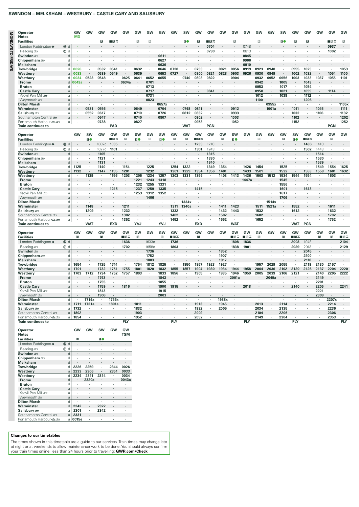# **SWINDON – MELKSHAM – WESTBURY – CASTLE CARY AND SALISBURY**

| Operator                                                                                                                                                                                                                                                                                                                                                                                                                                                                                                                         |                                  | GW                   | GW                   | GW             | GW                   | GW           | GW                 | GW                    | GW                 | GW                   | SW                   | GW                   | GW                   | GW           | GW                   | GW                       | GW                 | GW                       | sw                 | GW                   | GW                       | GW                   | GW                       | GW           |
|----------------------------------------------------------------------------------------------------------------------------------------------------------------------------------------------------------------------------------------------------------------------------------------------------------------------------------------------------------------------------------------------------------------------------------------------------------------------------------------------------------------------------------|----------------------------------|----------------------|----------------------|----------------|----------------------|--------------|--------------------|-----------------------|--------------------|----------------------|----------------------|----------------------|----------------------|--------------|----------------------|--------------------------|--------------------|--------------------------|--------------------|----------------------|--------------------------|----------------------|--------------------------|--------------|
| <b>Notes</b>                                                                                                                                                                                                                                                                                                                                                                                                                                                                                                                     |                                  | <b>MX</b>            |                      |                |                      |              |                    |                       |                    |                      |                      |                      |                      |              |                      |                          |                    |                          |                    |                      |                          |                      |                          |              |
| <b>Facilities</b>                                                                                                                                                                                                                                                                                                                                                                                                                                                                                                                |                                  |                      |                      | R              | ∎в≂                  |              | B                  | B                     |                    |                      | 10                   | B                    | ∎⊞∓                  |              | B                    |                          | R                  |                          | 10                 | R                    | П                        |                      | ∎⊓ਸ਼ਨ                    | B            |
| London Paddington $\bullet$                                                                                                                                                                                                                                                                                                                                                                                                                                                                                                      | (6) d                            |                      |                      |                |                      |              |                    |                       |                    |                      |                      |                      | 0704                 |              |                      | 0748                     |                    |                          |                    |                      |                          |                      | 0937                     |              |
| Reading s                                                                                                                                                                                                                                                                                                                                                                                                                                                                                                                        | $\circledcirc$ d                 |                      |                      |                |                      |              |                    | $\cdot$               |                    |                      |                      | $\cdot$              | 0730                 | $\cdot$      | $\cdot$              | 0813                     | $\cdot$            |                          | $\cdot$            | $\ddot{\phantom{a}}$ |                          |                      | 1002                     | $\cdot$      |
| Swindon =                                                                                                                                                                                                                                                                                                                                                                                                                                                                                                                        | $\circ$                          | ÷.                   |                      |                |                      |              |                    | ä,<br>$\cdot$         | 0611<br>0627       |                      |                      |                      |                      | i.           |                      | 0845<br>0900             |                    |                          |                    |                      |                          |                      |                          |              |
| Chippenham $\equiv$<br><b>Melksham</b>                                                                                                                                                                                                                                                                                                                                                                                                                                                                                           | d<br>$\overline{0}$              |                      |                      |                |                      |              |                    |                       | 0636               |                      |                      |                      |                      |              | $\cdot$              | 0910                     | $\cdot$            |                          |                    |                      |                          |                      |                          |              |
| <b>Trowbridge</b>                                                                                                                                                                                                                                                                                                                                                                                                                                                                                                                | d                                | 0026                 | $\cdot$              | 0532           | 0541                 |              | 0632               | $\cdot$               | 0646               | 0720                 | $\cdot$              | 0753                 |                      | 0821         | 0856                 | 0919                     | 0923               | 0940                     | $\blacksquare$     | 0955                 | 1025                     |                      |                          | 1053         |
| Westbury                                                                                                                                                                                                                                                                                                                                                                                                                                                                                                                         | a                                | 0033                 |                      | 0539           | 0549                 |              | 0639               |                       | 0653               | 0727                 |                      | 0800                 | 0821                 | 0828         | 0903                 | 0926                     | 0930               | 0949                     | ÷                  | 1002                 | 1032                     |                      | 1054                     | 1100         |
| Westbury                                                                                                                                                                                                                                                                                                                                                                                                                                                                                                                         | d                                | 0034                 | 0523                 | 0548           |                      | 0625         | 0641               | 0652                  | 0655               |                      | 0740                 | 0803                 | 0822                 | $\cdot$      | 0904                 |                          | 0932               | 0952                     | 0956               | 1003                 | 1033                     | 1037                 | 1055                     | 1101         |
| Frome                                                                                                                                                                                                                                                                                                                                                                                                                                                                                                                            | $\sigma$                         | 0043a                | $\cdot$              | $\cdot$        |                      | 0634a        |                    | 0701                  |                    |                      |                      |                      |                      |              |                      |                          | 0942               | $\cdot$                  | 1005               | $\cdot$              | 1043                     |                      |                          |              |
| <b>Bruton</b>                                                                                                                                                                                                                                                                                                                                                                                                                                                                                                                    | d                                |                      | $\cdot$              | $\cdot$        | $\cdot$              | $\cdot$      | $\cdot$            | 0713                  | $\cdot$            |                      |                      |                      | ٠                    | $\cdot$      | $\cdot$              | $\cdot$                  | 0953               | $\cdot$                  | 1017               | $\cdot$              | 1054                     | $\cdot$              |                          | ٠            |
| <b>Castle Cary</b>                                                                                                                                                                                                                                                                                                                                                                                                                                                                                                               | a                                |                      |                      |                |                      |              |                    | 0717                  |                    |                      |                      |                      | 0841                 |              |                      |                          | 0958               | $\cdot$                  | 1021               | $\cdot$              | 1059                     |                      | 1114                     |              |
| Yeovil Pen Mill                                                                                                                                                                                                                                                                                                                                                                                                                                                                                                                  | a                                | ÷                    | ÷                    |                |                      |              | ÷,                 | 0731                  |                    |                      |                      |                      |                      | l,           | ÷,                   | ÷,                       | 1012               | $\ddot{\phantom{a}}$     | 1038               | l.                   | 1112                     | $\cdot$              |                          |              |
| Weymouth s                                                                                                                                                                                                                                                                                                                                                                                                                                                                                                                       | a                                |                      |                      |                |                      |              |                    | 0823                  | $\cdot$            |                      |                      |                      |                      |              |                      |                          | 1100               |                          |                    | $\cdot$              | 1206                     |                      |                          |              |
| <b>Dilton Marsh</b>                                                                                                                                                                                                                                                                                                                                                                                                                                                                                                              | d                                | ×                    | $\cdot$              | $\cdot$        | ¥                    | ٠            | $\cdot$            | $\cdot$               | 0657x              | $\cdot$              | ٠                    | $\cdot$              | $\epsilon$           |              | $\cdot$              | $\cdot$                  |                    | 0955x                    | $\cdot$            | $\cdot$              | $\cdot$                  | $\epsilon$           | $\cdot$                  | 1105x        |
| Warminster                                                                                                                                                                                                                                                                                                                                                                                                                                                                                                                       | d                                |                      | 0531                 | 0556           |                      |              | 0649               | $\cdot$               | 0704               |                      | 0748                 | 0811                 |                      |              | 0912                 |                          |                    | 1001a                    |                    | 1011                 |                          | 1045                 |                          | 1111         |
| Salisbury =                                                                                                                                                                                                                                                                                                                                                                                                                                                                                                                      | $\overline{a}$                   | ×,<br>×.             | 0552                 | 0617           | ×,<br>$\epsilon$     |              | 0710               | $\cdot$<br>$\epsilon$ | 0726               | ¥<br>$\cdot$         | 0812                 | 0832                 | ä,<br>$\epsilon$     | $\cdot$      | 0933                 | ä,                       |                    | $\cdot$                  | à.<br>$\cdot$      | 1032                 | $\cdot$                  | 1106                 | $\cdot$                  | 1132         |
| Southampton Central<br>Portsmouth Harbour <a< td=""><td><math>\alpha</math><br/>a</td><td></td><td></td><td>0647<br/>0738</td><td></td><td></td><td>0740<br/>0827</td><td><math display="inline">\mathbf{r}</math></td><td>0807</td><td></td><td></td><td>0902<br/>0953</td><td>÷.</td><td></td><td>1003<br/>1052</td><td></td><td></td><td></td><td></td><td>1102<br/>1152</td><td></td><td></td><td><math>\lambda</math></td><td>1202<br/>1252</td></a<>                                                                       | $\alpha$<br>a                    |                      |                      | 0647<br>0738   |                      |              | 0740<br>0827       | $\mathbf{r}$          | 0807               |                      |                      | 0902<br>0953         | ÷.                   |              | 1003<br>1052         |                          |                    |                          |                    | 1102<br>1152         |                          |                      | $\lambda$                | 1202<br>1252 |
| <b>Train continues to</b>                                                                                                                                                                                                                                                                                                                                                                                                                                                                                                        |                                  |                      |                      |                | PAD                  |              |                    |                       |                    |                      | <b>WAT</b>           |                      | <b>PGN</b>           |              |                      |                          |                    |                          |                    |                      |                          |                      | <b>PGN</b>               |              |
|                                                                                                                                                                                                                                                                                                                                                                                                                                                                                                                                  |                                  |                      |                      |                |                      |              |                    |                       |                    |                      |                      |                      |                      |              |                      |                          |                    |                          |                    |                      |                          |                      |                          |              |
| Operator                                                                                                                                                                                                                                                                                                                                                                                                                                                                                                                         |                                  | GW                   | <b>SW</b>            | GW             | <b>GW</b>            | GW           | SW                 | GW                    | SW                 | GW                   | GW                   | GW                   | GW                   | GW           | SW                   | GW                       | GW                 | GW                       | GW                 | SW                   | GW                       | GW                   | GW                       | GW           |
| <b>Facilities</b>                                                                                                                                                                                                                                                                                                                                                                                                                                                                                                                |                                  |                      | 10                   |                | ■⊓⊼                  | $\mathbb{R}$ | $\blacksquare$     | $\mathbb{R}$          | 10                 | $\mathbb{R}$         | $\mathbb{R}$         | ∎⊓ਸ਼ਨ                |                      | $\mathbb{R}$ | 10                   |                          | R                  |                          | $\mathbb{R}$       | 10                   | ∎в≂                      |                      | $\mathbb{R}$             |              |
| London Paddington $\bullet$                                                                                                                                                                                                                                                                                                                                                                                                                                                                                                      | (6) d                            |                      |                      | 1002c          | 1035                 |              |                    |                       |                    |                      |                      | 1233                 | 1218                 |              |                      |                          |                    |                          |                    |                      | 1436                     | 1418                 |                          |              |
| Reading $\equiv$                                                                                                                                                                                                                                                                                                                                                                                                                                                                                                                 | $\circledcirc$ d                 | $\mathbf{r}$         | ÷                    | 1027c          | 1101                 | $\sim$       | $\cdot$            | $\mathbf{r}$          | $\lambda$          |                      |                      | 1301                 | 1243                 | $\lambda$    |                      |                          |                    |                          | ÷.                 | $\lambda$            | 1502                     | 1443                 | $\overline{\phantom{a}}$ |              |
| Swindon =                                                                                                                                                                                                                                                                                                                                                                                                                                                                                                                        | $\sigma$                         |                      |                      | 1105           |                      |              |                    |                       |                    |                      |                      |                      | 1315                 |              |                      |                          |                    |                          |                    |                      |                          | 1514                 |                          |              |
| Chippenham $\equiv$                                                                                                                                                                                                                                                                                                                                                                                                                                                                                                              | $\mathfrak{g}$                   | $\cdot$              | $\cdot$              | 1121           | $\cdot$              |              |                    |                       |                    |                      |                      | $\cdot$              | 1330                 | $\cdot$      |                      |                          |                    |                          |                    | $\cdot$              | $\cdot$                  | 1530                 | $\overline{\phantom{a}}$ |              |
| <b>Melksham</b>                                                                                                                                                                                                                                                                                                                                                                                                                                                                                                                  | $\Omega$                         |                      |                      | 1131           |                      |              |                    |                       |                    |                      |                      |                      | 1340                 |              |                      |                          |                    |                          |                    |                      |                          | 1539                 |                          |              |
| Trowbridge                                                                                                                                                                                                                                                                                                                                                                                                                                                                                                                       | d                                | 1125                 | $\ddot{\phantom{a}}$ | 1140           |                      | 1154         | $\mathbf{r}$       | 1225                  | $\lambda$          | 1254                 | 1322                 | $\mathbf{r}$         | 1349                 | 1354         | $\lambda$            | 1426                     | 1454               | $\overline{\phantom{a}}$ | 1525               | $\lambda$            | $\overline{\phantom{a}}$ | 1549                 | 1554                     | 1625         |
| Westbury                                                                                                                                                                                                                                                                                                                                                                                                                                                                                                                         | $\overline{a}$                   | 1132                 | $\cdot$              | 1147           | 1155                 | 1201         |                    | 1232                  |                    | 1301                 | 1329                 | 1354                 | 1356                 | 1401         |                      | 1433                     | 1501               |                          | 1532               |                      | 1553                     | 1558                 | 1601                     | 1632         |
| Westbury                                                                                                                                                                                                                                                                                                                                                                                                                                                                                                                         | d                                | ٠                    | 1139                 | $\blacksquare$ | 1156                 | 1203         | 1205               | 1234                  | 1257               | 1303                 | 1331                 | 1356                 | $\cdot$              | 1403         | 1413                 | 1436                     | 1503               | 1512                     | 1534               | 1544                 | 1554                     |                      | 1603                     | ٠            |
| Frome                                                                                                                                                                                                                                                                                                                                                                                                                                                                                                                            | d                                |                      |                      |                |                      |              | 1221               | 1243                  | 1318               |                      |                      |                      |                      |              |                      | 1447a                    |                    |                          | 1545               |                      |                          |                      |                          |              |
| <b>Bruton</b>                                                                                                                                                                                                                                                                                                                                                                                                                                                                                                                    | $\mathfrak{g}$                   |                      |                      |                | 1215                 |              | 1232<br>1237       | 1255<br>1259          | 1331<br>1335       |                      |                      | 1415                 |                      |              |                      |                          |                    |                          | 1556<br>1601       |                      |                          |                      |                          |              |
| <b>Castle Cary</b><br>Yeovil Pen Mill                                                                                                                                                                                                                                                                                                                                                                                                                                                                                            | a<br>a                           |                      | $\cdot$              |                |                      |              | 1253               | 1312                  | 1352               | ä,                   |                      |                      | ä,                   | ×,           |                      | ×,                       |                    |                          | 1617               | $\cdot$              | 1613                     |                      |                          | $\cdot$      |
| Weymouth set                                                                                                                                                                                                                                                                                                                                                                                                                                                                                                                     | $\alpha$                         |                      |                      |                |                      |              |                    | 1406                  |                    |                      |                      |                      |                      |              |                      |                          |                    |                          | 1706               |                      |                          |                      |                          |              |
| <b>Dilton Marsh</b>                                                                                                                                                                                                                                                                                                                                                                                                                                                                                                              | d                                | $\cdot$              | $\cdot$              | $\cdot$        | $\ddot{\phantom{a}}$ |              | $\cdot$            |                       | $\cdot$            | $\ddot{\phantom{a}}$ | 1334x                | $\cdot$              | ÷.                   |              | $\ddot{\phantom{a}}$ | $\lambda$                | $\cdot$            | 1514x                    | $\cdot$            | ÷.                   | $\ddot{\phantom{a}}$     | $\ddot{\phantom{a}}$ | $\ddot{\phantom{a}}$     | ×.           |
| Warminster                                                                                                                                                                                                                                                                                                                                                                                                                                                                                                                       | d                                |                      | 1148                 |                |                      | 1211         |                    |                       |                    | 1311                 | 1340a                |                      |                      | 1411         | 1423                 |                          | 1511               | 1521a                    |                    | 1552                 |                          |                      | 1611                     |              |
| Salisbury s                                                                                                                                                                                                                                                                                                                                                                                                                                                                                                                      | a                                | ÷.                   | 1209                 | $\cdot$        |                      | 1232         | ÷.                 |                       | $\cdot$            | 1332                 |                      |                      |                      | 1432         | 1443                 | ×.                       | 1532               |                          | ÷                  | 1612                 | ÷.                       |                      | 1632                     |              |
| Southampton Central                                                                                                                                                                                                                                                                                                                                                                                                                                                                                                              | $\alpha$                         |                      |                      |                |                      | 1302         |                    |                       |                    | 1402                 |                      |                      |                      | 1502         |                      | ×.                       | 1602               |                          |                    |                      |                          |                      | 1702                     |              |
| Portsmouth Harbour                                                                                                                                                                                                                                                                                                                                                                                                                                                                                                               | a                                |                      |                      |                |                      | 1352         |                    |                       |                    | 1452                 |                      |                      |                      | 1552         | ٠                    |                          | 1652               |                          |                    |                      |                          |                      | 1752                     |              |
| <b>Train continues to</b>                                                                                                                                                                                                                                                                                                                                                                                                                                                                                                        |                                  |                      | <b>WAT</b>           |                | <b>EXD</b>           |              | YVJ                |                       | <b>YVJ</b>         |                      |                      | <b>EXD</b>           |                      |              | <b>WAT</b>           |                          |                    |                          |                    | <b>WAT</b>           | PGN                      |                      |                          |              |
|                                                                                                                                                                                                                                                                                                                                                                                                                                                                                                                                  |                                  |                      |                      |                |                      |              |                    |                       |                    |                      |                      |                      |                      |              |                      |                          |                    |                          |                    |                      |                          |                      |                          |              |
| Operator<br><b>Facilities</b>                                                                                                                                                                                                                                                                                                                                                                                                                                                                                                    |                                  | GW                   | GW                   | GW             | GW                   | GW           | GW<br>$\mathbf{B}$ | GW                    | GW<br>$\mathbf{B}$ | GW                   | GW                   | GW                   | GW                   | GW           | GW                   | GW                       | GW<br>$\mathbf{B}$ | GW                       | GW<br>$\mathbf{B}$ | GW<br>∎в≂            | GW                       | GW                   | GW<br>$\mathbf{B}$       | GW<br>∎⊓ਸ਼ਨ  |
| London Paddington $\Theta$                                                                                                                                                                                                                                                                                                                                                                                                                                                                                                       | 15 d                             | B<br>$\cdot$         |                      | B              |                      | ∎⊡ਨ<br>1636  | $\cdot$            | 1633c                 | $\cdot$            | ∎в≂<br>1736          |                      | B                    |                      |              | ∎⊟ਨ<br>1808          | ∎⊡ਨ<br>1836              |                    |                          |                    | 2003                 | 1948                     | R                    |                          | 2104         |
|                                                                                                                                                                                                                                                                                                                                                                                                                                                                                                                                  |                                  |                      |                      |                |                      | 1702         | $\cdot$            |                       |                    | 1803                 | $\ddot{\phantom{a}}$ |                      |                      |              | 1838                 | 1901                     |                    |                          | à.                 | 2029                 |                          |                      |                          |              |
| Reading s                                                                                                                                                                                                                                                                                                                                                                                                                                                                                                                        | $\circledcirc$ d<br>$\mathsf{d}$ |                      |                      |                |                      |              |                    | 1658c<br>1736         | $\cdot$            |                      |                      |                      |                      |              |                      |                          |                    |                          |                    |                      | 2013<br>2045             |                      |                          | 2129         |
| Swindon =<br>Chippenham $\equiv$                                                                                                                                                                                                                                                                                                                                                                                                                                                                                                 | <sub>c</sub>                     | $\cdot$              |                      |                |                      |              | $\cdot$            | 1752                  |                    |                      |                      |                      |                      | 1852<br>1907 |                      |                          |                    |                          | ٠                  |                      | 2100                     |                      |                          |              |
| <b>Melksham</b>                                                                                                                                                                                                                                                                                                                                                                                                                                                                                                                  | $\sigma$                         |                      |                      |                |                      |              | $\cdot$            | 1803                  |                    |                      |                      |                      |                      | 1917         |                      |                          |                    |                          |                    |                      | 2110                     |                      |                          |              |
| <b>Trowbridge</b>                                                                                                                                                                                                                                                                                                                                                                                                                                                                                                                | d                                | 1654                 |                      | 1725           | 1744                 |              | 1754               | 1812                  | 1825               |                      | 1850                 | 1857                 | 1923                 | 1927         |                      |                          | 1957               | 2029                     | 2055               |                      | 2119                     | 2130                 | 2157                     |              |
| Westbury                                                                                                                                                                                                                                                                                                                                                                                                                                                                                                                         | a                                | 1701                 |                      | 1732           | 1751                 | 1755         | 1801               | 1820                  | 1832               | 1855                 | 1857                 | 1904                 | 1930                 | 1934         | 1944                 | 1958                     | 2004               | 2036                     | 2102               | 2120                 | 2126                     | 2137                 | 2204                     | 2220         |
| Westbury                                                                                                                                                                                                                                                                                                                                                                                                                                                                                                                         | d                                | 1703                 | 1712                 | 1734           | 1752                 | 1757         | 1803               | ٠                     | 1833               | 1856                 | $\cdot$              | 1905                 | $\cdot$              | 1935         | 1946                 | 1959                     | 2005               | 2039                     | 2106               | 2121                 | $\cdot$                  | 2140                 | 2205                     | 2222         |
| Frome                                                                                                                                                                                                                                                                                                                                                                                                                                                                                                                            | $\sigma$                         |                      |                      | 1743           |                      |              |                    |                       | 1843               |                      |                      |                      |                      |              | 2001a                |                          |                    | 2049a                    |                    |                      |                          | 2149                 |                          |              |
| <b>Bruton</b>                                                                                                                                                                                                                                                                                                                                                                                                                                                                                                                    | d                                | $\cdot$              | $\cdot$              | 1755           | $\cdot$              | $\cdot$      | $\cdot$            | ×.                    | 1855               | $\cdot$              | $\cdot$              | $\cdot$              | $\overline{a}$       | $\cdot$      |                      | $\cdot$                  |                    |                          | ÷                  | $\cdot$              |                          | 2201                 | $\lambda$                | ÷.           |
| <b>Castle Cary</b>                                                                                                                                                                                                                                                                                                                                                                                                                                                                                                               | a                                |                      |                      | 1759           |                      | 1816         |                    |                       | 1900               | 1915                 |                      |                      |                      |              |                      | 2018                     |                    |                          |                    | 2140                 |                          | 2205                 |                          | 2241         |
| Yeovil Pen Mill &                                                                                                                                                                                                                                                                                                                                                                                                                                                                                                                | a                                | $\ddot{\phantom{a}}$ |                      | 1813           | $\cdot$              |              | $\cdot$            | $\ddot{\phantom{a}}$  | 1915               | $\cdot$              |                      | $\ddot{\phantom{a}}$ | $\ddot{\phantom{a}}$ | ٠            | $\cdot$              | $\overline{\phantom{a}}$ | $\cdot$            | $\cdot$                  | ×.                 | ٠                    | ٠                        | 2221                 | $\ddot{\phantom{a}}$     | ٠            |
| Weymouth s                                                                                                                                                                                                                                                                                                                                                                                                                                                                                                                       | a                                |                      |                      | 1906           |                      |              |                    |                       | 2003               |                      |                      |                      |                      |              |                      |                          |                    |                          |                    |                      |                          | 2309                 |                          |              |
| <b>Dilton Marsh</b>                                                                                                                                                                                                                                                                                                                                                                                                                                                                                                              | d                                |                      | 1714x                |                | 1756x                |              |                    |                       |                    |                      | $\cdot$              |                      |                      | 1938x        | $\cdot$              | ×,                       |                    |                          |                    |                      |                          |                      | 2207x                    | ×,           |
| Warminster                                                                                                                                                                                                                                                                                                                                                                                                                                                                                                                       | d                                | 1711                 | 1721a                |                | 1801a                |              | 1811               |                       |                    |                      |                      | 1913                 |                      | 1945         |                      |                          | 2013               |                          | 2114               |                      |                          |                      | 2214                     |              |
| Salisbury 2                                                                                                                                                                                                                                                                                                                                                                                                                                                                                                                      | a                                | 1732                 |                      |                |                      |              | 1832<br>1903       |                       |                    |                      |                      | 1932                 |                      | 2005         |                      |                          | 2034<br>2104       |                          | 2135               |                      |                          |                      | 2236<br>2306             |              |
| Southampton Central<br>Portsmouth Harbour <a< td=""><td>a<br/>a</td><td>1802<br/>1854</td><td>٠</td><td></td><td></td><td></td><td>1952</td><td><math display="inline">\cdot</math></td><td></td><td></td><td></td><td>2002<br/>2052</td><td></td><td></td><td></td><td></td><td>2149</td><td><math display="inline">\cdot</math><br/><math display="inline">\cdot</math></td><td>2206<br/>2304</td><td><math display="inline">\cdot</math></td><td></td><td></td><td>2353</td><td><math display="inline">\cdot</math></td></a<> | a<br>a                           | 1802<br>1854         | ٠                    |                |                      |              | 1952               | $\cdot$               |                    |                      |                      | 2002<br>2052         |                      |              |                      |                          | 2149               | $\cdot$<br>$\cdot$       | 2206<br>2304       | $\cdot$              |                          |                      | 2353                     | $\cdot$      |
| Train continues to                                                                                                                                                                                                                                                                                                                                                                                                                                                                                                               |                                  |                      |                      |                |                      | PLY          |                    |                       |                    | <b>PLY</b>           |                      |                      |                      |              |                      | PLY                      |                    |                          |                    | <b>PLY</b>           |                          |                      |                          | PLY          |
|                                                                                                                                                                                                                                                                                                                                                                                                                                                                                                                                  |                                  |                      |                      |                |                      |              |                    |                       |                    |                      |                      |                      |                      |              |                      |                          |                    |                          |                    |                      |                          |                      |                          |              |

| <b>Operator</b><br><b>Notes</b>                                                                         |                  | GW      | GW    | <b>SW</b> | GW      | GW<br><b>TSM</b> |
|---------------------------------------------------------------------------------------------------------|------------------|---------|-------|-----------|---------|------------------|
| <b>Facilities</b>                                                                                       |                  | в       |       | 10        |         |                  |
| London Paddington $\bullet$                                                                             | $⑤$<br>d         | ٠       | ٠     |           | ٠       |                  |
| Reading                                                                                                 | $\circled7$<br>d | ٠       | ٠     | ٠         | ٠       | ٠                |
| Swindon =                                                                                               | d                | $\cdot$ | ٠     | ٠         | $\cdot$ | ٠                |
| Chippenham $\equiv$                                                                                     | d                | ٠       | ٠     | ٠         | ٠       | ٠                |
| <b>Melksham</b>                                                                                         | d                | ٠       | ٠     |           | ٠       |                  |
| Trowbridge                                                                                              | d                | 2226    | 2259  | ٠         | 2344    | 0026             |
| Westbury                                                                                                | a                | 2233    | 2306  |           | 2351    | 0033             |
| Westbury                                                                                                | d                | 2234    | 2311  | 2314      | ٠       | 0034             |
| <b>Frome</b>                                                                                            | d                | ٠       | 2320a |           | $\cdot$ | 0043a            |
| <b>Bruton</b>                                                                                           | d                | ٠       | ×,    | ٠         | ٠       |                  |
| <b>Castle Cary</b>                                                                                      | a                | ٠       | ٠     |           | $\cdot$ | ٠                |
| Yeovil Pen Mill                                                                                         | a                | ٠       | ٠     | ٠         | ٠       | ٠                |
| Weymouth s                                                                                              | a                | ٠       | ٠     |           | $\cdot$ |                  |
| <b>Dilton Marsh</b>                                                                                     | d                | ٠       | ٠     | ٠         | ٠       | ٠                |
| Warminster                                                                                              | d                | 2242    | ٠     | 2322      | ٠       |                  |
| Salisbury son                                                                                           | a                | 2301    | ٠     | 2342      | ٠       | ٠                |
| Southampton Central                                                                                     | a                | 2331    | ٠     |           | $\cdot$ | ٠                |
| Portsmouth Harbour <aser< td=""><td>a</td><td>0015e</td><td>٠</td><td></td><td>٠</td><td>٠</td></aser<> | a                | 0015e   | ٠     |           | ٠       | ٠                |

# **Changes to our timetables**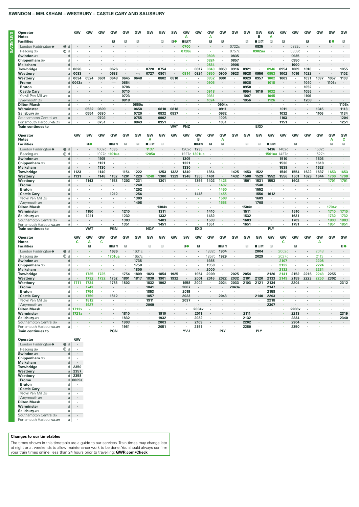# SWINDON - MELKSHAM - WESTBURY - CASTLE CARY AND SALISBURY

|                  | Operator                                                                                                                                                                                                                                                                                                                                                                                                                                               |                  | GW                   | GW           | GW                   | GW                       | GW      | GW                       | GW                   | GW      | <b>SW</b>            | GW      | GW             | GW                   | GW                   | GW                   | GW           | GW           | GW                   | GW                   | GW                   | GW           | GW         | SW         | GW                   |
|------------------|--------------------------------------------------------------------------------------------------------------------------------------------------------------------------------------------------------------------------------------------------------------------------------------------------------------------------------------------------------------------------------------------------------------------------------------------------------|------------------|----------------------|--------------|----------------------|--------------------------|---------|--------------------------|----------------------|---------|----------------------|---------|----------------|----------------------|----------------------|----------------------|--------------|--------------|----------------------|----------------------|----------------------|--------------|------------|------------|----------------------|
| <b>SYADRIONS</b> | <b>Notes</b>                                                                                                                                                                                                                                                                                                                                                                                                                                           |                  |                      |              |                      |                          |         |                          |                      |         |                      | А       |                | Α                    |                      |                      |              | в            | А                    |                      |                      |              |            |            |                      |
|                  | <b>Facilities</b>                                                                                                                                                                                                                                                                                                                                                                                                                                      |                  |                      |              |                      | B                        | B       | B                        |                      | R       | 10                   | ∎в≂     |                | $\mathbb B$          | $\mathbb{R}^2$       |                      | R            | ∎в≂          | $\mathbb{R}$         | R                    |                      | $\mathbb{R}$ |            | 10         | $\mathbb{R}$         |
|                  | London Paddington $\bullet$                                                                                                                                                                                                                                                                                                                                                                                                                            | (f) d            |                      |              |                      |                          |         |                          |                      |         |                      | 0700    |                |                      |                      | 0732c                |              | 0835         |                      | $\cdot$              | 0832c                |              |            |            |                      |
|                  | Reading s                                                                                                                                                                                                                                                                                                                                                                                                                                              | $\circledcirc$ d |                      |              |                      |                          |         |                          |                      |         | ¥                    | 0728u   |                | ×,                   | $\cdot$              | 0757c                | ×.           | 0902ua       | $\cdot$              | $\cdot$              | 0859c                |              |            |            |                      |
|                  | Swindon =                                                                                                                                                                                                                                                                                                                                                                                                                                              | d                |                      |              |                      |                          |         | $\mathbf{r}$             |                      |         | $\ddot{\phantom{a}}$ |         |                | 0808                 | $\sim$               | 0835                 | $\epsilon$   |              |                      | $\ddot{\phantom{a}}$ | 0935                 |              |            |            |                      |
|                  | Chippenham $\equiv$                                                                                                                                                                                                                                                                                                                                                                                                                                    | d                |                      |              |                      |                          |         |                          |                      |         |                      |         |                | 0824                 | ï                    | 0857                 |              |              |                      |                      | 0950                 |              |            |            |                      |
|                  | <b>Melksham</b>                                                                                                                                                                                                                                                                                                                                                                                                                                        | d                |                      |              |                      |                          |         |                          |                      |         |                      |         |                | 0834                 |                      | 0906                 |              |              |                      | ٠                    | 1000                 |              |            |            |                      |
|                  | Trowbridge                                                                                                                                                                                                                                                                                                                                                                                                                                             | d                | 0026                 |              | $\cdot$              | 0626                     | $\cdot$ | $\cdot$                  | 0720                 | 0754    | $\cdot$              |         | 0817           | 0843                 | 0853                 | 0916                 | 0921         |              | 0946                 | 0954                 | 1009                 | 1016         | $\cdot$    |            | 1055                 |
|                  | Westbury                                                                                                                                                                                                                                                                                                                                                                                                                                               | $\overline{a}$   | 0033                 |              |                      | 0633                     |         |                          | 0727                 | 0801    |                      | 0814    | 0824           | 0850                 | 0900                 | 0923                 | 0928         | 0956         | 0953                 | 1002                 | 1016                 | 1022         |            |            | 1102                 |
|                  | Westbury                                                                                                                                                                                                                                                                                                                                                                                                                                               | d                | 0034                 | 0524         | 0601                 | 0648                     | 0645    | 0648                     |                      | 0802    | 0810                 |         |                | 0852                 | 0901                 |                      | 0929         | 0957         | 1002                 | 1003                 |                      | 1031         | 1037       | 1057       | 1103                 |
|                  | Frome                                                                                                                                                                                                                                                                                                                                                                                                                                                  | d                | 0043a                |              |                      | $\overline{\phantom{a}}$ | 0654    |                          |                      |         |                      |         |                | 0905                 |                      |                      | 0938         |              | 1018                 | $\cdot$              |                      | 1040         | $\cdot$    | 1106a      |                      |
|                  | <b>Bruton</b>                                                                                                                                                                                                                                                                                                                                                                                                                                          | $\overline{d}$   | $\cdot$              |              | $\cdot$              | $\cdot$                  | 0706    | ٠                        |                      |         | $\cdot$              |         |                | ×                    | $\cdot$              | $\cdot$              | 0950         | $\cdot$      | $\cdot$              | ٠                    | $\cdot$              | 1052         | ٠          |            |                      |
|                  | <b>Castle Cary</b>                                                                                                                                                                                                                                                                                                                                                                                                                                     | a                |                      |              |                      |                          | 0710    |                          |                      |         |                      |         |                | 0918                 |                      |                      | 0954         | 1016         | 1032                 |                      |                      | 1056         |            |            |                      |
|                  | Yeovil Pen Mill                                                                                                                                                                                                                                                                                                                                                                                                                                        | a                | J.                   |              | $\epsilon$           | $\cdot$                  | 0723    | $\cdot$                  | ä,                   |         | ä,                   | ä,      | $\epsilon$     | 0931                 | $\cdot$              | ×,                   | 1007         | $\cdot$      | 1045                 | $\epsilon$           | ×,                   | 1109         | $\epsilon$ | $\epsilon$ | $\epsilon$           |
|                  | Weymouth s                                                                                                                                                                                                                                                                                                                                                                                                                                             | $\rm{a}$         |                      |              |                      |                          | 0818    |                          |                      |         |                      |         |                | 1024                 |                      |                      | 1056         |              | 1126                 |                      |                      | 1208         |            |            |                      |
|                  | <b>Dilton Marsh</b>                                                                                                                                                                                                                                                                                                                                                                                                                                    | d                | $\ddot{\phantom{a}}$ |              | $\ddot{\phantom{a}}$ | ÷.                       |         | 0650x                    | $\ddot{\phantom{a}}$ |         |                      |         |                | ä,                   | 0904x                | $\ddot{\phantom{a}}$ |              | ÷.           |                      |                      | $\ddot{\phantom{a}}$ |              | $\cdot$    |            | 1106x                |
|                  | Warminster                                                                                                                                                                                                                                                                                                                                                                                                                                             | d                |                      | 0532         | 0609                 |                          |         | 0658                     |                      | 0810    | 0818                 |         |                |                      | 0911                 |                      |              |              |                      | 1011                 |                      |              | 1045       |            | 1113                 |
|                  | Salisbury 2                                                                                                                                                                                                                                                                                                                                                                                                                                            | a                |                      | 0554         | 0630                 |                          |         | 0720                     |                      | 0832    | 0837                 |         |                |                      | 0932                 |                      |              |              |                      | 1032                 |                      |              | 1106       |            | 1134                 |
|                  | Southampton Central                                                                                                                                                                                                                                                                                                                                                                                                                                    | $\rm{a}$         |                      |              | 0702                 |                          |         | 0755                     | ÷,                   | 0902    | $\cdot$              |         |                | ×                    | 1003                 |                      | ٠            |              |                      | 1103                 |                      |              | ٠          |            | 1204                 |
|                  | Portsmouth Harbour <a< td=""><td>a</td><td></td><td>٠</td><td>0751</td><td><math>\cdot</math></td><td>٠</td><td>0849</td><td><math display="inline">\cdot</math></td><td>0951</td><td></td><td></td><td></td><td>×</td><td>1051</td><td><math display="inline">\cdot</math></td><td>٠</td><td></td><td><math display="inline">\cdot</math></td><td>1151</td><td></td><td><math display="inline">\cdot</math></td><td>٠</td><td></td><td>1251</td></a<> | a                |                      | ٠            | 0751                 | $\cdot$                  | ٠       | 0849                     | $\cdot$              | 0951    |                      |         |                | ×                    | 1051                 | $\cdot$              | ٠            |              | $\cdot$              | 1151                 |                      | $\cdot$      | ٠          |            | 1251                 |
|                  | Train continues to                                                                                                                                                                                                                                                                                                                                                                                                                                     |                  |                      |              |                      |                          |         |                          |                      |         | <b>WAT</b>           | PNZ     |                |                      |                      |                      |              | <b>EXD</b>   |                      |                      |                      |              |            |            |                      |
|                  |                                                                                                                                                                                                                                                                                                                                                                                                                                                        |                  | GW                   | <b>SW</b>    | GW                   | GW                       | GW      | GW                       | GW                   | GW      |                      | GW      | GW             | GW                   | GW                   | GW                   | GW           | GW           |                      | GW                   | GW                   | GW           | GW         | GW         | GW                   |
|                  | Operator<br><b>Notes</b>                                                                                                                                                                                                                                                                                                                                                                                                                               |                  |                      |              |                      |                          |         |                          | А                    |         | GW                   |         | В              |                      |                      |                      |              |              | GW                   |                      |                      |              |            |            | C                    |
|                  | <b>Facilities</b>                                                                                                                                                                                                                                                                                                                                                                                                                                      |                  |                      |              |                      | ∎в≂                      | B       | $\mathbb{R}$             | ∎⊟ਨ                  | R       |                      |         | ∎⊓ਸ਼ਨ          | $\mathbb{R}$         | A<br>$\mathbb{R}$    |                      | $\mathbb{R}$ | R            | ∎в≂                  |                      | R                    |              |            | А<br>B     | $\mathbb{R}$         |
|                  |                                                                                                                                                                                                                                                                                                                                                                                                                                                        |                  |                      | 10           |                      |                          |         |                          |                      |         |                      |         |                |                      |                      |                      |              |              | 1436                 |                      |                      |              |            |            |                      |
|                  | London Paddington $\Theta$                                                                                                                                                                                                                                                                                                                                                                                                                             | (fi) d           |                      |              | 1002c                | 1035                     |         |                          | 1137                 |         | ×,                   | 1202c   | 1235           |                      |                      |                      |              |              |                      | 1402c                |                      |              | 1502c      |            |                      |
|                  | Reading                                                                                                                                                                                                                                                                                                                                                                                                                                                | $\circledcirc$ d |                      |              | 1027c                | 1101ua                   |         | $\cdot$                  | 1205u                |         | $\cdot$              | 1227c   | <b>1301ua</b>  | $\ddot{\phantom{a}}$ |                      |                      |              | $\mathbf{r}$ | 1501ua               | 1427c                | $\lambda$            |              | 1527c      |            |                      |
|                  | Swindon =                                                                                                                                                                                                                                                                                                                                                                                                                                              | $\overline{d}$   |                      |              | 1105                 |                          |         |                          |                      |         |                      | 1305    |                |                      |                      |                      |              |              |                      | 1510                 |                      |              | 1603       |            |                      |
|                  | Chippenham $\equiv$                                                                                                                                                                                                                                                                                                                                                                                                                                    | d                | $\lambda$            |              | 1121                 |                          |         | $\overline{\phantom{a}}$ |                      |         | $\cdot$              | 1321    |                | $\cdot$              |                      |                      |              |              |                      | 1530                 |                      | $\cdot$      | 1618       |            |                      |
|                  | <b>Melksham</b>                                                                                                                                                                                                                                                                                                                                                                                                                                        | d                |                      |              | 1130                 |                          |         |                          |                      |         |                      | 1330    |                |                      |                      |                      |              |              |                      | 1539                 |                      |              | 1628       |            |                      |
|                  | Trowbridge                                                                                                                                                                                                                                                                                                                                                                                                                                             | d                | 1123                 |              | 1140                 |                          | 1154    | 1222                     |                      | 1253    | 1322                 | 1340    |                | 1354                 | ×.                   | 1425                 | 1453         | 1522         | $\cdot$              | 1549                 | 1554                 | 1622         | 1637       | 1653       | 1653                 |
|                  | Westbury                                                                                                                                                                                                                                                                                                                                                                                                                                               | $\overline{a}$   | 1131<br>×,           | 1143         | 1148<br>×,           | 1152                     | 1201    | 1229                     | 1248<br>¥            | 1300    | 1329<br>×,           | 1348    | 1355           | 1401                 | 1423                 | 1432                 | 1500         | 1529         | 1552                 | 1556<br>×,           | 1601                 | 1629         | 1644<br>×, | 1700       | 1700<br>1701         |
|                  | Westbury<br>Frome                                                                                                                                                                                                                                                                                                                                                                                                                                      | d<br>d           |                      |              |                      | 1153                     | 1202    | 1231<br>1240             |                      | 1301    |                      |         | 1356           | 1402                 | 1437                 |                      | 1501         | 1531<br>1540 | 1553                 |                      | 1602                 |              |            | 1701       |                      |
|                  | <b>Bruton</b>                                                                                                                                                                                                                                                                                                                                                                                                                                          | d                | $\cdot$              |              | $\cdot$              | $\cdot$                  |         | 1252                     | ×                    | $\cdot$ | $\cdot$              | $\cdot$ | $\blacksquare$ | $\cdot$              | 1450                 | $\cdot$              | ٠            | 1552         | $\ddot{\phantom{a}}$ | $\cdot$              |                      |              | $\cdot$    |            |                      |
|                  | <b>Castle Cary</b>                                                                                                                                                                                                                                                                                                                                                                                                                                     | $\overline{a}$   |                      |              |                      | 1212                     |         | 1256                     |                      |         |                      |         | 1418           |                      | 1455                 |                      |              | 1556         | 1612                 |                      |                      |              |            |            |                      |
|                  | Yeovil Pen Mill                                                                                                                                                                                                                                                                                                                                                                                                                                        | a                | ÷,                   |              | ÷,                   |                          |         | 1309                     | ä,                   |         | ÷,                   |         |                | $\ddot{\phantom{a}}$ | 1508                 |                      | ÷,           | 1609         |                      | ÷                    |                      |              | ÷          |            |                      |
|                  | Weymouth s                                                                                                                                                                                                                                                                                                                                                                                                                                             | a                |                      |              |                      |                          |         | 1408                     |                      |         |                      |         |                |                      | 1553                 |                      |              | 1708         |                      |                      |                      |              |            |            |                      |
|                  | <b>Dilton Marsh</b>                                                                                                                                                                                                                                                                                                                                                                                                                                    | d                | ٠                    |              | ٠                    | $\cdot$                  |         | $\cdot$                  | ×                    | 1304x   | $\cdot$              |         |                |                      |                      |                      | 1504x        |              | $\cdot$              | ٠                    |                      |              |            | 1704x      |                      |
|                  | Warminster                                                                                                                                                                                                                                                                                                                                                                                                                                             | d                |                      | 1150         |                      |                          | 1210    |                          |                      | 1311    |                      |         |                | 1410                 |                      |                      | 1511         |              |                      |                      | 1610                 |              |            | 1710       | 1710                 |
|                  | Salisbury =                                                                                                                                                                                                                                                                                                                                                                                                                                            | $\rm{a}$         |                      | 1211         |                      |                          | 1232    | ٠                        |                      | 1332    |                      |         |                | 1432                 |                      |                      | 1532         |              |                      |                      | 1631                 |              |            | 1732       | 1732                 |
|                  | Southampton Central                                                                                                                                                                                                                                                                                                                                                                                                                                    | $\rm{a}$         | $\cdot$              |              | $\cdot$              | $\cdot$                  | 1303    | $\cdot$                  | o,                   | 1403    | $\cdot$              |         | $\lambda$      | 1503                 | ×                    | $\cdot$              | 1603         |              | $\cdot$              | $\cdot$              | 1703                 | $\cdot$      | $\cdot$    | 1803       | 1803                 |
|                  | Portsmouth Harbour                                                                                                                                                                                                                                                                                                                                                                                                                                     | a                |                      |              |                      |                          | 1351    | $\cdot$                  |                      | 1451    |                      |         |                | 1551                 |                      |                      | 1651         |              |                      |                      | 1751                 |              |            | 1851       | 1851                 |
|                  | <b>Train continues to</b>                                                                                                                                                                                                                                                                                                                                                                                                                              |                  |                      | <b>WAT</b>   |                      | <b>PGN</b>               |         |                          | <b>NQY</b>           |         |                      |         | <b>EXD</b>     |                      |                      |                      |              |              | PLY                  |                      |                      |              |            |            |                      |
|                  |                                                                                                                                                                                                                                                                                                                                                                                                                                                        |                  |                      |              |                      |                          |         |                          |                      |         |                      |         |                |                      |                      |                      |              |              |                      |                      |                      |              |            |            |                      |
|                  | Operator                                                                                                                                                                                                                                                                                                                                                                                                                                               |                  | GW                   | GW           | GW                   | GW                       | GW      | GW                       | GW                   | GW      | GW                   | SW      | GW             | GW                   | GW                   | GW                   | GW           | GW           | GW                   | GW                   | GW                   | GW           | GW         | GW         | <b>SW</b>            |
|                  | <b>Notes</b>                                                                                                                                                                                                                                                                                                                                                                                                                                           |                  | C                    | А            | C                    |                          |         |                          |                      |         |                      |         |                |                      |                      |                      |              |              |                      | C                    |                      |              | Α          |            |                      |
|                  | <b>Facilities</b>                                                                                                                                                                                                                                                                                                                                                                                                                                      |                  |                      | $\mathbf{B}$ |                      | ∎⊡ਨ                      | B       |                          | R                    | R       |                      | 10      | B              |                      | ∎в≂                  |                      | $\mathbb{R}$ | ∎⊡⊼          | B                    |                      | R                    |              |            |            | $\mathbf{u}$         |
|                  | London Paddington $\bullet$                                                                                                                                                                                                                                                                                                                                                                                                                            | (f) d            |                      |              |                      | 1636                     |         | 1631c                    |                      |         |                      |         |                | 1832c                | 1904                 |                      |              | 2004         |                      | 2002c                |                      |              | 2048       |            |                      |
|                  | Reading                                                                                                                                                                                                                                                                                                                                                                                                                                                | $\circledcirc$ d |                      |              |                      | <b>1701ua</b>            |         | 1657c                    |                      |         |                      |         |                | 1857c                | 1929                 |                      |              | 2029         |                      | 2027c                |                      |              | 2113       |            |                      |
|                  | Swindon =                                                                                                                                                                                                                                                                                                                                                                                                                                              | d                |                      |              |                      |                          |         | 1735                     |                      |         |                      |         |                | 1935                 |                      |                      |              |              |                      | 2107                 |                      |              | 2208       |            |                      |
|                  | Chippenham $\equiv$                                                                                                                                                                                                                                                                                                                                                                                                                                    | d                |                      |              |                      |                          |         | 1750                     |                      |         |                      |         |                | 1950                 |                      |                      |              |              |                      | 2122                 |                      |              | 2224       |            |                      |
|                  | <b>Melksham</b>                                                                                                                                                                                                                                                                                                                                                                                                                                        | d                |                      |              |                      |                          |         | 1800                     |                      |         |                      |         |                | 2000                 |                      |                      |              |              |                      | 2132                 |                      |              | 2234       |            |                      |
|                  | Trowbridge                                                                                                                                                                                                                                                                                                                                                                                                                                             | d                | ×                    | 1725         | 1725                 | $\ddot{\phantom{a}}$     | 1754    | 1809                     | 1823                 | 1854    | 1925                 | $\cdot$ | 1954           | 2009                 | $\ddot{\phantom{a}}$ | 2025                 | 2054         |              | 2126                 | 2141                 | 2152                 | 2216         | 2243       | 2255       |                      |
|                  | Westbury                                                                                                                                                                                                                                                                                                                                                                                                                                               | a                |                      | 1732         | 1732                 | 1752                     | 1801    | 1817                     | 1830                 | 1901    | 1932                 |         | 2001           | 2016                 | 2022                 | 2032                 | 2101         | 2120         | 2133                 | 2149                 | 2159                 | 2223         | 2250       | 2302       |                      |
|                  | Westbury                                                                                                                                                                                                                                                                                                                                                                                                                                               | d                | 1711                 | 1734         | ×                    | 1753                     | 1802    | $\cdot$                  | 1832                 | 1902    | $\cdot$              | 1958    | 2002           | $\cdot$              | 2024                 | 2033                 | 2103         | 2121         | 2134                 | ×.                   | 2204                 |              | ×          |            | 2312                 |
|                  | Frome                                                                                                                                                                                                                                                                                                                                                                                                                                                  | d                |                      | 1743         |                      |                          |         |                          | 1841                 |         |                      | 2007    |                |                      |                      | 2043a                |              |              | 2147                 |                      |                      |              |            |            |                      |
|                  | <b>Bruton</b>                                                                                                                                                                                                                                                                                                                                                                                                                                          | d                |                      | 1754         | ×                    |                          |         |                          | 1853                 | ٠       | $\epsilon$           | 2019    | $\cdot$        | ¥                    |                      |                      |              |              | 2158                 | ×                    |                      |              |            |            |                      |
|                  | <b>Castle Cary</b>                                                                                                                                                                                                                                                                                                                                                                                                                                     | $\overline{a}$   |                      | 1759         | v.                   | 1812                     |         |                          | 1857                 |         |                      | 2023    |                |                      | 2043                 |                      |              | 2140         | 2203                 | ¥.                   |                      |              |            |            |                      |
|                  | Yeovil Pen Mill                                                                                                                                                                                                                                                                                                                                                                                                                                        | a                |                      | 1812         | ÷                    |                          |         | $\cdot$                  | 1911                 |         | ÷.                   | 2037    |                | $\ddot{\phantom{a}}$ |                      |                      |              |              | 2218                 | ä,                   |                      |              | ä,         |            | $\ddot{\phantom{a}}$ |
|                  | Weymouth s                                                                                                                                                                                                                                                                                                                                                                                                                                             | a                |                      | 1927         |                      |                          |         |                          | 2009                 |         |                      |         |                |                      |                      |                      |              |              | 2307                 |                      |                      |              |            |            |                      |
|                  | <b>Dilton Marsh</b>                                                                                                                                                                                                                                                                                                                                                                                                                                    | d                | 1713x                |              |                      |                          |         |                          |                      |         | ï                    | ×,      | 2004x          | ×,                   |                      |                      |              |              |                      | ×                    | 2206x                |              |            |            |                      |
|                  | Warminster                                                                                                                                                                                                                                                                                                                                                                                                                                             | d                | 1721a                |              |                      |                          | 1810    |                          |                      | 1910    |                      |         | 2011           |                      |                      |                      | 2111         |              |                      |                      | 2213                 |              |            |            | 2319                 |
|                  | Salisbury 2                                                                                                                                                                                                                                                                                                                                                                                                                                            | a                |                      |              |                      |                          | 1832    |                          |                      | 1932    |                      |         | 2032           |                      |                      |                      | 2132         |              |                      |                      | 2234                 |              |            |            | 2340                 |
|                  | Southampton Central                                                                                                                                                                                                                                                                                                                                                                                                                                    | $\rm{a}$         |                      |              |                      | $\sim$                   | 1903    | $\cdot$                  | $\cdot$              | 2003    | $\cdot$              | $\sim$  | 2103           | $\cdot$              | $\cdot$              | $\cdot$              | 2202         | $\cdot$      |                      | ÷.                   | 2304                 |              |            |            |                      |
|                  | Portsmouth Harbour                                                                                                                                                                                                                                                                                                                                                                                                                                     | $\rm{a}$         |                      |              |                      | PGN                      | 1951    |                          |                      | 2051    | $\cdot$              | YVJ     | 2151           |                      | PLY                  |                      | 2250         | PLY          |                      |                      | 2350                 |              |            |            |                      |
|                  | Train continues to                                                                                                                                                                                                                                                                                                                                                                                                                                     |                  |                      |              |                      |                          |         |                          |                      |         |                      |         |                |                      |                      |                      |              |              |                      |                      |                      |              |            |            |                      |

Operator GW London Paddington  $\overline{\circ}$  $\langle \cdot \rangle$ Reading **3**  $\circledcirc$  d  $\overline{\text{Swindon}} \equiv$  $\overline{c}$  $\cdot$ Chippenham  $\frac{1}{c}$  $\frac{1}{2}$  . Chippennan<br>Melksham<br>Trowbridge  $\mathsf{d}$ 2350  $\overline{d}$ **Westbury**<br>Westbury  $\frac{2357}{2358}$  $\overline{d}$ Frome 0009a  $\overline{c}$  $\frac{1}{2}$ **Bruton**  $\overline{c}$ Bruton<br>Castle Cary<br>Yeovil Pen Mill<br><del>Weymouth ⊜</del><br>Dilton Marsh  $\overline{z}$  $\frac{1}{\sqrt{2}}$  $\overline{\epsilon}$  $\epsilon$  $\frac{1}{2}$  $\mathbf{d}$ Warminster Salisbury<br>Southampton Central<br>Portsmouth Harbour  $\epsilon$  $\cdot$ 

# **Changes to our timetables**

The times shown in this timetable are a guide to our services. Train times may change late and injet or at weekends to allow maintenance work to be done. You should always confirm<br>your train times online, less than 24 hours prior to travelling: **GWR.com/Check** 

 $\frac{1}{2}$  $\overline{c}$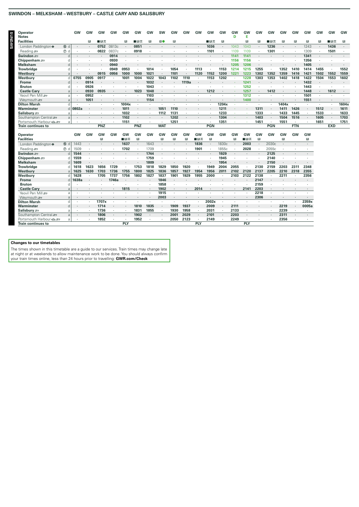# SWINDON - MELKSHAM - WESTBURY - CASTLE CARY AND SALISBURY

| Operator<br><b>Notes</b>                                                                                                                                                                                                                                                                                                                                                                                                                                                                                     |                  | GW      | GW           | GW           | <b>GW</b> | GW           | GW           | GW           | <b>SW</b>    | GW                   | GW      | GW           | <b>GW</b>    | GW           | GW<br>D      | GW<br>Е      | GW                   | <b>GW</b> | GW           | GW           | <b>GW</b>            | GW           | GW         | GW     |
|--------------------------------------------------------------------------------------------------------------------------------------------------------------------------------------------------------------------------------------------------------------------------------------------------------------------------------------------------------------------------------------------------------------------------------------------------------------------------------------------------------------|------------------|---------|--------------|--------------|-----------|--------------|--------------|--------------|--------------|----------------------|---------|--------------|--------------|--------------|--------------|--------------|----------------------|-----------|--------------|--------------|----------------------|--------------|------------|--------|
| <b>Facilities</b>                                                                                                                                                                                                                                                                                                                                                                                                                                                                                            |                  |         | $\mathbb{E}$ | ∎⊟ਨ          |           | $\mathbb{R}$ | ∎⊪ਸ਼ਲ        | $\mathbb{R}$ | П0           | B                    |         |              | ∎⊟ਨ          | $\mathbb{R}$ |              | $\mathbb{R}$ | $\mathbb{R}$         | ∎⊪ਸ਼ਨ     | $\mathbb{R}$ | $\mathbb{R}$ | Ы                    | $\mathbb{R}$ | ∎⊪ਸ਼ਨ      | в      |
| London Paddington $\bullet$                                                                                                                                                                                                                                                                                                                                                                                                                                                                                  | 15 d             |         | ٠            | 0752         | 0813c     | ٠            | 0851         |              |              |                      |         | $\cdot$      | 1036         | ٠            | 1043         | 1043         | ٠                    | 1236      |              |              | 1243                 |              | 1436       | $\sim$ |
| Reading                                                                                                                                                                                                                                                                                                                                                                                                                                                                                                      | $\circledcirc$ d |         |              | 0822         | 0837c     | $\cdot$      | 0918         |              |              |                      |         |              | 1101         | ٠            | 1109         | 1109         |                      | 1301      |              |              | 1309                 |              | 1501       |        |
| Swindon s                                                                                                                                                                                                                                                                                                                                                                                                                                                                                                    | d                |         |              |              | 0914      |              |              |              |              |                      |         |              |              |              | 1141         | 1141         |                      |           |              |              | 1341                 |              |            |        |
| Chippenham $\equiv$                                                                                                                                                                                                                                                                                                                                                                                                                                                                                          | d                |         |              |              | 0930      | ٠            |              |              |              |                      |         |              |              |              | 1156         | 1156         | ٠                    |           |              |              | 1356                 |              |            |        |
| <b>Melksham</b>                                                                                                                                                                                                                                                                                                                                                                                                                                                                                              | d                |         |              |              | 0940      |              |              |              |              |                      |         |              |              |              | 1205         | 1206         |                      |           |              |              | 1405                 |              |            |        |
| Trowbridge                                                                                                                                                                                                                                                                                                                                                                                                                                                                                                   | d                |         |              |              | 0949      | 0953         |              | 1014         |              | 1054                 |         | 1113         |              | 1153         | 1214         | 1215         | 1255                 |           | 1352         | 1410         | 1414                 | 1455         | $\cdot$    | 1552   |
| Westburv                                                                                                                                                                                                                                                                                                                                                                                                                                                                                                     | a                |         | $\cdot$      | 0915         | 0956      | 1000         | 1000         | 1021         | $\cdot$      | 1101                 | $\sim$  | 1120         | 1152         | 1200         | 1221         | 1223         | 1302                 | 1352      | 1359         | 1416         | 1421                 | 1502         | 1552       | 1559   |
| Westbury                                                                                                                                                                                                                                                                                                                                                                                                                                                                                                     | d                | 0755    | 0905         | 0917         |           | 1001         | 1004         | 1022         | 1043         | 1102                 | 1110    |              | 1153         | 1202         | ×            | 1228         | 1303                 | 1353      | 1402         | 1418         | 1422                 | 1504         | 1553       | 1602   |
| Frome                                                                                                                                                                                                                                                                                                                                                                                                                                                                                                        | d                |         | 0914         |              |           |              |              | 1032         | $\cdot$      |                      | 1119a   | $\bullet$    |              |              |              | 1241         | $\cdot$              |           |              |              | 1432                 |              |            |        |
| <b>Bruton</b>                                                                                                                                                                                                                                                                                                                                                                                                                                                                                                | d                |         | 0926         |              |           |              |              | 1043         |              |                      |         |              |              |              |              | 1252         |                      |           |              |              | 1443                 |              |            |        |
| <b>Castle Cary</b>                                                                                                                                                                                                                                                                                                                                                                                                                                                                                           | a                |         | 0930         | 0935         |           |              | 1023         | 1048         |              |                      |         |              | 1212         |              |              | 1257         | $\cdot$              | 1412      |              |              | 1448                 |              | 1612       |        |
| Yeovil Pen Mill                                                                                                                                                                                                                                                                                                                                                                                                                                                                                              | a                |         | 0952         |              |           |              |              | 1103         |              |                      |         |              |              |              |              | 1312         | $\ddot{\phantom{0}}$ |           |              |              | 1501                 |              |            |        |
| Weymouth s                                                                                                                                                                                                                                                                                                                                                                                                                                                                                                   | $\overline{a}$   | $\cdot$ | 1051         | ٠            |           |              |              | 1154         | ٠            |                      |         |              |              | $\cdot$      | $\sim$       | 1400         | $\cdot$              | $\cdot$   |              | $\cdot$      | 1551                 |              | $\cdot$    | $\sim$ |
| <b>Dilton Marsh</b>                                                                                                                                                                                                                                                                                                                                                                                                                                                                                          | d                |         | ×.           |              |           | 1004x        |              |              |              |                      |         |              |              | 1204x        |              |              |                      |           | 1404x        |              |                      | $\cdot$      |            | 1604x  |
| Warminster                                                                                                                                                                                                                                                                                                                                                                                                                                                                                                   | <sub>d</sub>     | 0802a   |              |              |           | 1011         |              |              | 1051         | 1110                 |         |              |              | 1211         | ×            |              | 1311                 |           | 1411         | 1426         | ٠                    | 1512         |            | 1611   |
| Salisbury <i>s</i>                                                                                                                                                                                                                                                                                                                                                                                                                                                                                           | a                |         |              | ٠            |           | 1032         | $\cdot$      |              | 1112         | 1131                 |         |              |              | 1233         | ×            |              | 1333                 |           | 1433         | 1445         | $\ddot{\phantom{a}}$ | 1533         | $\cdot$    | 1633   |
| Southampton Central                                                                                                                                                                                                                                                                                                                                                                                                                                                                                          | a                |         |              |              |           | 1102         |              |              |              | 1202                 |         |              |              | 1304         |              |              | 1403                 | $\cdot$   | 1504         | 1516         |                      | 1605         | $\sim$     | 1703   |
| Portsmouth Harbour <a< td=""><td>a</td><td></td><td></td><td><math>\mathbf{r}</math></td><td></td><td>1151</td><td><math>\cdot</math></td><td></td><td><math>\cdot</math></td><td>1251</td><td><math>\cdot</math></td><td></td><td></td><td>1351</td><td>÷.</td><td></td><td>1451</td><td><math display="inline">\sim</math></td><td>1551</td><td><math display="inline">\cdot</math></td><td><math>\ddot{\phantom{a}}</math></td><td>1651</td><td><math display="inline">\sim</math></td><td>1751</td></a<> | a                |         |              | $\mathbf{r}$ |           | 1151         | $\cdot$      |              | $\cdot$      | 1251                 | $\cdot$ |              |              | 1351         | ÷.           |              | 1451                 | $\sim$    | 1551         | $\cdot$      | $\ddot{\phantom{a}}$ | 1651         | $\sim$     | 1751   |
| <b>Train continues to</b>                                                                                                                                                                                                                                                                                                                                                                                                                                                                                    |                  |         |              | <b>PNZ</b>   |           |              | PNZ          |              | <b>WAT</b>   |                      |         |              | <b>PGN</b>   |              |              |              |                      | PGN       |              | <b>FTN</b>   |                      |              | <b>EXD</b> |        |
|                                                                                                                                                                                                                                                                                                                                                                                                                                                                                                              |                  |         |              |              |           |              |              |              |              |                      |         |              |              |              |              |              |                      |           |              |              |                      |              |            |        |
| <b>Operator</b>                                                                                                                                                                                                                                                                                                                                                                                                                                                                                              |                  | GW      | GW           | GW           | GW        | GW           | GW           | GW           | GW           | GW                   | GW      | GW           | GW           | GW           | GW           | GW           | GW                   | GW        | GW           | GW           | GW                   |              |            |        |
| <b>Facilities</b>                                                                                                                                                                                                                                                                                                                                                                                                                                                                                            |                  |         |              | в            |           | ∎в≂          | B            |              | $\mathbb{R}$ | в                    | B       | ∎⊓ਡ          | $\mathbb{R}$ |              | B            | ∎⊟ਨ          | B                    |           | $\mathbf{B}$ |              | R                    |              |            |        |
| London Paddington $\bullet$                                                                                                                                                                                                                                                                                                                                                                                                                                                                                  | 15 d             | 1443    |              |              |           | 1637         |              | 1643         | $\cdot$      |                      |         | 1836         |              | 1830c        | $\cdot$      | 2003         | $\cdot$              | 2030c     |              |              |                      |              |            |        |
| Reading s                                                                                                                                                                                                                                                                                                                                                                                                                                                                                                    | $\circledcirc$ d | 1509    |              |              |           | 1702         |              | 1709         |              |                      |         | 1901         |              | 1855c        |              | 2028         | $\cdot$              | 2055c     |              |              |                      |              |            |        |
| Swindon =                                                                                                                                                                                                                                                                                                                                                                                                                                                                                                    | d                | 1544    | $\cdot$      |              |           |              |              | 1744         | $\cdot$      |                      |         |              |              | 1929         | ÷.           |              |                      | 2125      |              |              |                      |              |            |        |
| Chippenham $\equiv$                                                                                                                                                                                                                                                                                                                                                                                                                                                                                          | d                | 1559    | ٠            |              |           |              |              | 1759         |              |                      |         |              |              | 1945         |              |              |                      | 2140      |              |              |                      |              |            |        |
| <b>Melksham</b>                                                                                                                                                                                                                                                                                                                                                                                                                                                                                              | d                | 1609    |              |              |           |              |              | 1809         |              |                      |         |              |              | 1954         |              |              |                      | 2150      |              |              |                      |              |            |        |
| <b>Trowbridge</b>                                                                                                                                                                                                                                                                                                                                                                                                                                                                                            | d                | 1618    | 1623         | 1656         | 1729      |              | 1753         | 1818         | 1829         | 1850                 | 1920    |              | 1949         | 2004         | 2055         |              | 2130                 | 2159      | 2203         | 2311         | 2348                 |              |            |        |
| Westbury                                                                                                                                                                                                                                                                                                                                                                                                                                                                                                     | a                | 1625    | 1630         | 1703         | 1736      | 1755         | 1800         | 1825         | 1836         | 1857                 | 1927    | 1954         | 1956         | 2011         | 2102         | 2120         | 2137                 | 2205      | 2210         | 2318         | 2355                 |              |            |        |
| Westbury                                                                                                                                                                                                                                                                                                                                                                                                                                                                                                     | d                | 1628    | ٠            | 1705         | 1737      | 1756         | 1802         | 1827         | 1837         | 1901                 | 1929    | 1955         | 2000         | ٠            | 2103         | 2122         | 2138                 | ٠         | 2211         | ٠            | 2356                 |              |            |        |
| <b>Frome</b>                                                                                                                                                                                                                                                                                                                                                                                                                                                                                                 | $\sqrt{2}$       | 1638a   | $\bullet$    |              | 1746a     |              |              |              | 1846         |                      |         |              |              |              |              |              | 2147                 |           |              |              |                      |              |            |        |
| <b>Bruton</b>                                                                                                                                                                                                                                                                                                                                                                                                                                                                                                | d                |         |              |              |           |              |              |              | 1858         |                      |         |              |              |              |              |              | 2159                 |           |              |              |                      |              |            |        |
| <b>Castle Cary</b><br>Yeovil Pen Mill                                                                                                                                                                                                                                                                                                                                                                                                                                                                        | a                |         |              |              |           | 1815         | $\cdot$      |              | 1902         | $\ddot{\phantom{0}}$ | $\cdot$ | 2014         |              |              |              | 2141         | 2203                 | $\sim$    |              |              |                      |              |            |        |
|                                                                                                                                                                                                                                                                                                                                                                                                                                                                                                              | a                |         |              |              |           |              |              |              | 1915         |                      |         |              |              |              |              |              | 2218                 |           |              |              |                      |              |            |        |
| Weymouth s                                                                                                                                                                                                                                                                                                                                                                                                                                                                                                   | a                |         |              |              |           |              |              |              | 2003         |                      |         |              |              |              |              |              | 2306                 | ٠         |              |              | $\bullet$            |              |            |        |
| <b>Dilton Marsh</b>                                                                                                                                                                                                                                                                                                                                                                                                                                                                                          | d                |         |              | 1707x        |           |              |              |              |              | 1909                 | 1937    |              | 2002x        |              |              |              |                      |           |              |              | 2359x<br>0005a       |              |            |        |
| Warminster                                                                                                                                                                                                                                                                                                                                                                                                                                                                                                   | d                |         |              | 1714         |           | ÷.           | 1810         | 1835<br>1855 | ٠            |                      | 1958    |              | 2009         | ٠            | 2111         |              |                      |           | 2219<br>2239 | ٠            |                      |              |            |        |
| Salisbury =                                                                                                                                                                                                                                                                                                                                                                                                                                                                                                  | a                | $\cdot$ |              | 1736<br>1806 | $\cdot$   | $\cdot$      | 1831<br>1902 | $\cdot$      | $\cdot$      | 1930                 | 2029    | $\cdot$      | 2031<br>2101 | $\cdot$      | 2133<br>2203 |              |                      |           | 2311         |              |                      |              |            |        |
| Southampton Central                                                                                                                                                                                                                                                                                                                                                                                                                                                                                          | a                | $\cdot$ | $\cdot$      | 1852         | $\cdot$   |              | 1952         |              | $\cdot$      | 2001                 |         | ٠<br>$\cdot$ | 2149         | ٠<br>$\cdot$ | 2249         |              | $\cdot$              | $\cdot$   |              | $\cdot$      |                      |              |            |        |
| Portsmouth Harbour <a< td=""><td>a</td><td></td><td></td><td></td><td></td><td><b>PLY</b></td><td></td><td></td><td></td><td>2050</td><td>2123</td><td>PLY</td><td></td><td></td><td></td><td>PLY</td><td></td><td></td><td>2356</td><td></td><td></td><td></td><td></td><td></td></a<>                                                                                                                                                                                                                      | a                |         |              |              |           | <b>PLY</b>   |              |              |              | 2050                 | 2123    | PLY          |              |              |              | PLY          |                      |           | 2356         |              |                      |              |            |        |
| <b>Train continues to</b>                                                                                                                                                                                                                                                                                                                                                                                                                                                                                    |                  |         |              |              |           |              |              |              |              |                      |         |              |              |              |              |              |                      |           |              |              |                      |              |            |        |

**Changes to our timetables**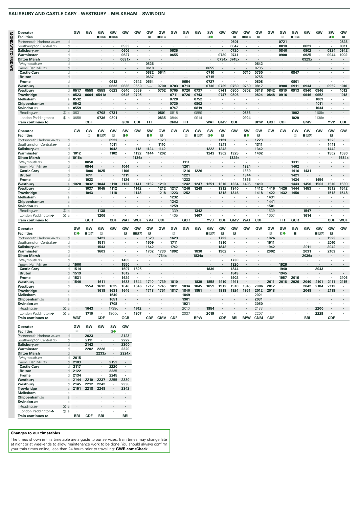# **SALISBURY AND CASTLE CARY – WESTBURY – MELKSHAM – SWINDON**

| Operator                                                                                                                                                                                                                                                                            |                  | GW         | GW         | GW                       | GW                   | GW           | GW                       | GW                       | GW                       | GW                   | GW                   | GW                   | <b>SW</b>            | GW                   | GW                   | GW           | GW             | GW                                     | GW                       | GW                       | GW         | GW           | <b>SW</b>                | GW                |
|-------------------------------------------------------------------------------------------------------------------------------------------------------------------------------------------------------------------------------------------------------------------------------------|------------------|------------|------------|--------------------------|----------------------|--------------|--------------------------|--------------------------|--------------------------|----------------------|----------------------|----------------------|----------------------|----------------------|----------------------|--------------|----------------|----------------------------------------|--------------------------|--------------------------|------------|--------------|--------------------------|-------------------|
| <b>Facilities</b>                                                                                                                                                                                                                                                                   |                  |            |            | ∎⊟ਨ                      | ■日素                  |              |                          | $\mathbb{R}^2$           | ■日素                      |                      | $\mathbb B$          |                      | 10                   |                      | $\mathbf{B}$         | ■日素          | $\mathbb{R}$   |                                        | $\mathbb{R}$             | ∎в≂                      |            |              | 10                       | $\mathbb B$       |
| Portsmouth Harbour                                                                                                                                                                                                                                                                  | d                |            |            |                          |                      |              |                          |                          |                          |                      |                      |                      |                      |                      | 0601                 |              |                |                                        | 0721                     |                          |            |              |                          | 0823              |
| Southampton Central se                                                                                                                                                                                                                                                              | d                |            |            |                          | $\mathbf{r}$         | 0533         | ٠.                       |                          |                          | ٠.                   |                      |                      |                      |                      | 0647                 | $\mathbf{r}$ | $\cdot$        |                                        | 0810                     |                          | 0823       | $\mathbf{r}$ | $\overline{\phantom{a}}$ | 0911              |
| Salisbury =                                                                                                                                                                                                                                                                         | d                |            |            |                          |                      | 0606         |                          |                          |                          | 0635                 |                      |                      |                      | $\epsilon$           | 0720                 |              |                |                                        | 0840                     |                          | 0902       |              | 0924                     | 0942              |
| Warminster                                                                                                                                                                                                                                                                          | d                |            |            |                          | ٠                    | 0627         | $\overline{\phantom{a}}$ |                          |                          | 0655                 | ٠                    |                      |                      | 0730                 | 0741                 |              | $\cdot$        |                                        | 0900                     |                          | 0925       | $\cdot$      | 0944                     | 1002              |
| <b>Dilton Marsh</b>                                                                                                                                                                                                                                                                 | d                |            |            |                          |                      | 0631x        |                          |                          |                          |                      |                      |                      |                      | 0734x                | 0745x                |              |                |                                        |                          |                          | 0929x      |              |                          |                   |
| Weymouth s                                                                                                                                                                                                                                                                          | d                |            |            |                          | $\cdot$              |              |                          | 0526                     |                          |                      |                      |                      |                      |                      |                      |              | 0642           |                                        |                          |                          |            |              |                          |                   |
| Yeovil Pen Mill                                                                                                                                                                                                                                                                     | d                |            |            |                          |                      |              |                          | 0618                     |                          |                      |                      |                      | 0655                 |                      |                      |              | 0735           |                                        |                          |                          |            |              |                          |                   |
| <b>Castle Cary</b>                                                                                                                                                                                                                                                                  | d                |            |            |                          |                      | ï            | $\cdot$                  | 0632                     | 0641                     | $\ddot{\phantom{a}}$ |                      | $\ddot{\phantom{a}}$ | 0710                 | $\cdot$              | $\ddot{\phantom{a}}$ | 0740         | 0750           | ٠                                      | à.                       | 0847                     | $\cdot$    | ¥            | $\cdot$                  |                   |
| <b>Bruton</b>                                                                                                                                                                                                                                                                       | d                |            |            |                          |                      |              |                          | 0637                     |                          |                      |                      |                      | 0715                 |                      |                      |              | 0755           |                                        |                          |                          |            |              |                          |                   |
| Frome                                                                                                                                                                                                                                                                               | d                |            |            |                          | 0612                 |              | 0642                     | 0654                     | $\cdot$                  | $\cdot$              | 0654                 | $\cdot$              | 0727                 | $\cdot$              | $\cdot$              | $\cdot$      | 0808           | $\lambda$                              | $\cdot$                  | 0901                     | $\cdot$    | $\cdot$      |                          |                   |
| Westburv                                                                                                                                                                                                                                                                            | a                |            |            |                          | 0622                 | 0636         | 0650                     | $\overline{\phantom{a}}$ | 0700                     | 0703                 | 0713                 |                      | 0736                 | 0739                 | 0750                 | 0759         | 0817           |                                        | 0908                     | 0911                     | 0934       |              | 0952                     | 1010              |
| Westbury                                                                                                                                                                                                                                                                            | d                | 0517       | 0558       | 0559                     | 0623                 | 0640         | 0659                     | $\cdot$                  | 0702                     | 0705                 | 0720                 | 0737                 |                      | 0741                 | 0800                 | 0802         | 0818           | 0842                                   | 0910                     | 0913                     | 0940       | 0946         |                          | 1012              |
| <b>Trowbridge</b>                                                                                                                                                                                                                                                                   | a                | 0523       | 0604       | 0541d                    |                      | 0646         | 0705                     |                          |                          | 0711                 | 0726                 | 0743                 |                      | 0747                 | 0806                 |              | 0824           | 0848                                   | 0916                     |                          | 0946       | 0952         |                          | 1018              |
| Melksham                                                                                                                                                                                                                                                                            | a                | 0532       |            |                          | $\cdot$              |              | $\cdot$                  | $\cdot$                  | $\overline{\phantom{a}}$ | 0720                 | $\cdot$              | 0752                 | $\cdot$              |                      |                      | $\cdot$      | $\cdot$        |                                        |                          | $\overline{\phantom{a}}$ | $\cdot$    | 1001         | $\cdot$                  |                   |
| Chippenham =                                                                                                                                                                                                                                                                        | $\mathsf{a}$     | 0542       |            |                          |                      |              |                          |                          |                          | 0730                 |                      | 0802                 |                      |                      |                      |              |                |                                        |                          |                          |            | 1011         |                          |                   |
| Swindon =                                                                                                                                                                                                                                                                           | a                | 0559       |            |                          |                      |              |                          |                          |                          | 0747                 | $\cdot$              | 0819                 |                      |                      |                      |              |                |                                        |                          |                          |            | 1034         |                          |                   |
| Reading s                                                                                                                                                                                                                                                                           | $\circledcirc$ a | 0631       | $\cdot$    | 0708                     | 0731                 |              |                          | $\cdot$                  | 0801                     | 0818                 | $\ddot{\phantom{0}}$ | 0859                 | $\cdot$              |                      |                      | 0853         |                |                                        |                          | 1002                     | $\cdot$    | 1109c        |                          |                   |
| London Paddington $\Theta$                                                                                                                                                                                                                                                          | ⑮ a              | 0659       |            | 0736                     | 0801                 |              |                          |                          | 0835                     | 0844                 |                      | 0914                 |                      |                      |                      | 0924         |                |                                        |                          | 1029                     |            | 1136c        |                          |                   |
| <b>Train continues to</b>                                                                                                                                                                                                                                                           |                  |            | <b>CDF</b> |                          |                      | GCR          | <b>CDF</b>               | FIT                      |                          | <b>CNM</b>           | <b>FIT</b>           |                      | <b>WAT</b>           | <b>GMV</b>           | <b>CDF</b>           |              | <b>BPW</b>     | GCR                                    | <b>CDF</b>               |                          | <b>GMV</b> |              | <b>YVP</b>               | <b>CDF</b>        |
|                                                                                                                                                                                                                                                                                     |                  |            |            |                          |                      |              |                          |                          |                          |                      |                      |                      |                      |                      |                      |              |                |                                        |                          |                          |            |              |                          |                   |
| Operator                                                                                                                                                                                                                                                                            |                  | <b>GW</b>  | GW         | GW                       | GW                   | <b>SW</b>    | GW                       | SW                       | GW                       | GW                   | GW                   | GW                   | SW                   | GW                   | GW                   | <b>SW</b>    | GW             | GW                                     | GW                       | GW                       | GW         | GW           | GW                       | GW                |
| <b>Facilities</b>                                                                                                                                                                                                                                                                   |                  |            | B          | ∎⊟ਨ                      | $\mathbb{R}$         | 10           |                          | 10                       | $\mathbb{R}$             |                      | $\mathbb{R}$         | ∎⊪ਸ਼ਨ                | 10                   | $\mathbb{R}$         |                      | 10           | B              |                                        |                          | B                        | ∎⊡ਨ        |              | B                        |                   |
| Portsmouth Harbour <<                                                                                                                                                                                                                                                               | d                |            |            |                          | 0923                 |              |                          |                          | 1023                     |                      | $\ddot{\phantom{a}}$ |                      |                      | 1123                 |                      |              | 1223           |                                        |                          |                          |            |              | 1323                     |                   |
| Southampton Central                                                                                                                                                                                                                                                                 | d                |            |            |                          | 1011                 |              | $\cdot$                  |                          | 1110                     | $\cdot$              |                      |                      |                      | 1211                 |                      | $\cdot$      | 1311           |                                        |                          |                          |            | $\cdot$      | 1411                     |                   |
| Salisbury =                                                                                                                                                                                                                                                                         | d                | $\cdot$    |            |                          | 1042                 | ä,           | 1112                     | 1124                     | 1142                     |                      |                      | ä,                   | 1222                 | 1242                 | $\cdot$              |              | 1342           |                                        |                          |                          |            | ÷,           | 1442                     |                   |
| Warminster                                                                                                                                                                                                                                                                          | d                | 1012       |            | $\cdot$                  | 1102                 | ٠            | 1132                     | 1144                     | 1202                     |                      |                      | ٠                    | 1243                 | 1302                 | 1325                 |              | 1402           |                                        |                          |                          |            | ٠            | 1502                     | 1530              |
| <b>Dilton Marsh</b>                                                                                                                                                                                                                                                                 | d                | 1016x      |            |                          | $\cdot$              |              | 1136x                    | $\cdot$                  |                          |                      |                      |                      |                      | $\cdot$              | 1329x                |              | $\cdot$        |                                        |                          |                          |            |              |                          | 1534x             |
| Weymouth s                                                                                                                                                                                                                                                                          | d                |            | 0850       | $\cdot$                  | $\ddot{\phantom{a}}$ |              |                          | $\cdot$                  |                          |                      | 1111                 | ï                    |                      |                      |                      |              | $\cdot$        |                                        |                          | 1311                     |            |              |                          |                   |
| Yeovil Pen Mill                                                                                                                                                                                                                                                                     | d                |            | 0944       |                          |                      | 1044         |                          |                          |                          |                      | 1201                 |                      |                      |                      |                      | 1324         |                |                                        |                          | 1402                     |            |              |                          |                   |
| <b>Castle Cary</b>                                                                                                                                                                                                                                                                  | d                |            | 1006       | 1025                     | $\cdot$              | 1106         | $\cdot$                  | $\cdot$                  |                          | $\cdot$              | 1216                 | 1226                 |                      | $\cdot$              |                      | 1339         | $\cdot$        |                                        | ä,                       | 1416                     | 1431       | ä,           |                          |                   |
| <b>Bruton</b>                                                                                                                                                                                                                                                                       | $\sf d$          |            | 1011       | $\cdot$                  |                      | 1111         |                          |                          |                          |                      | 1221                 |                      |                      |                      |                      | 1344         |                |                                        |                          | 1421                     |            |              |                          |                   |
| <b>Frome</b>                                                                                                                                                                                                                                                                        | d                |            | 1023       |                          |                      | 1124         |                          |                          |                          |                      | 1233                 |                      |                      |                      |                      | 1356         |                |                                        |                          | 1434                     |            | 1454         |                          |                   |
| Westbury                                                                                                                                                                                                                                                                            | a                | 1020       | 1032       | 1044                     | 1110                 | 1133         | 1141                     | 1152                     | 1210                     |                      | 1242                 | 1247                 | 1251                 | 1310                 | 1334                 | 1405         | 1410           |                                        |                          | 1443                     | 1450       | 1503         | 1510                     | 1539              |
| Westburv                                                                                                                                                                                                                                                                            | d                |            | 1037       | 1045                     | 1112                 |              | 1142                     | $\epsilon$               | 1212                     | 1217                 | 1246                 | 1249                 |                      | 1312                 | 1340                 | $\epsilon$   | 1412           | 1416                                   | 1426                     | 1444                     | 1453       | $\cdot$      | 1512                     | 1542              |
| <b>Trowbridge</b>                                                                                                                                                                                                                                                                   | $\rm{a}$         |            | 1043       | $\overline{\phantom{a}}$ | 1118<br>$\lambda$    | ä,           | 1148<br>÷.               |                          | 1218                     | 1223                 | 1252                 | ÷.                   |                      | 1318                 | 1346                 |              | 1418           | 1422                                   | 1432<br>$\overline{a}$   | 1450                     |            |              | 1518<br>i.               | 1548<br>$\lambda$ |
| Melksham                                                                                                                                                                                                                                                                            | a                |            |            |                          |                      |              |                          | $\cdot$                  |                          | 1232<br>1242         | $\cdot$              |                      |                      |                      |                      | $\cdot$      | $\cdot$        | 1431                                   |                          |                          |            | $\cdot$      |                          |                   |
| Chippenham $\equiv$                                                                                                                                                                                                                                                                 | $\rm{a}$         |            |            |                          |                      |              |                          |                          |                          |                      | $\cdot$              |                      |                      |                      |                      |              | $\cdot$        | 1441                                   |                          |                          |            |              |                          |                   |
| Swindon =                                                                                                                                                                                                                                                                           | a                |            |            |                          |                      |              |                          |                          |                          | 1259                 |                      |                      |                      |                      |                      |              |                | 1501                                   |                          |                          |            |              |                          |                   |
| Reading                                                                                                                                                                                                                                                                             | $\circledcirc$ a |            |            | 1138                     | $\cdot$              |              |                          |                          |                          | 1339                 | $\cdot$              | 1342                 |                      |                      |                      |              |                | 1539                                   |                          |                          | 1547       |              |                          |                   |
| London Paddington $\bullet$                                                                                                                                                                                                                                                         | ⑮ a              |            | $\cdot$    | 1206                     | $\mathbf{r}$         |              | $\mathbf{r}$             |                          | $\mathbf{r}$             | 1405                 | $\cdot$              | 1407                 |                      |                      |                      |              | $\cdot$        | 1607                                   | $\overline{\phantom{a}}$ |                          | 1614       |              |                          |                   |
| <b>Train continues to</b>                                                                                                                                                                                                                                                           |                  |            | <b>GCR</b> |                          | <b>CDF</b>           | <b>WAT</b>   | <b>WOF</b>               | <b>YVJ</b>               | <b>CDF</b>               |                      | <b>GCR</b>           |                      | <b>YVJ</b>           | <b>CDF</b>           | <b>GMV</b>           | <b>WAT</b>   | CDF            |                                        | <b>FIT</b>               | <b>GCR</b>               |            |              | <b>CDF</b>               | <b>WOF</b>        |
|                                                                                                                                                                                                                                                                                     |                  |            |            |                          |                      |              |                          |                          |                          |                      |                      |                      |                      |                      |                      |              |                |                                        |                          |                          |            |              |                          |                   |
| Operator                                                                                                                                                                                                                                                                            |                  | <b>SW</b>  | GW         | GW                       | GW                   | GW           | GW                       | GW                       | <b>GW</b>                | GW                   | GW                   | GW                   | GW                   | GW                   | GW                   | GW           | GW             | GW                                     | <b>SW</b>                | GW                       | GW         | GW           | GW                       | GW                |
| <b>Facilities</b>                                                                                                                                                                                                                                                                   |                  | 10         | ■日素        | $\mathbb{R}$             |                      | $\mathbb{R}$ | ■⊓ਸ                      | $\mathbb B$              |                          | $\mathbb{R}$         |                      |                      | ∎в≂                  | $\mathbb{R}$         | B                    |              |                | $\mathbf{B}$                           | 10                       | п                        |            | ■日素          | $\mathbb{R}$             |                   |
| Portsmouth Harbour <a< td=""><td>d</td><td></td><td></td><td>1423</td><td></td><td></td><td></td><td>1523</td><td></td><td>1623</td><td></td><td></td><td></td><td>1723</td><td></td><td></td><td></td><td>1824</td><td></td><td></td><td></td><td></td><td>1923</td><td></td></a<> | d                |            |            | 1423                     |                      |              |                          | 1523                     |                          | 1623                 |                      |                      |                      | 1723                 |                      |              |                | 1824                                   |                          |                          |            |              | 1923                     |                   |
| Southampton Central                                                                                                                                                                                                                                                                 | d                |            |            | 1511                     |                      |              |                          | 1609                     |                          | 1711                 | $\cdot$              |                      |                      | 1810                 |                      |              |                | 1911                                   |                          |                          |            |              | 2010                     |                   |
| Salisbury s                                                                                                                                                                                                                                                                         | d                |            |            | 1543                     |                      |              |                          | 1642                     |                          | 1742                 | ä,                   | $\cdot$              |                      | 1842                 |                      |              |                | 1942                                   |                          |                          | 2011       |              | 2042                     |                   |
| Warminster                                                                                                                                                                                                                                                                          | d                | ÷.         |            | 1603                     | $\mathbf{r}$         |              | ä,                       | 1702                     | 1730                     | 1802                 | $\cdot$              | 1830                 | ÷.                   | 1902                 |                      |              | $\overline{a}$ | 2002                                   | $\mathbf{r}$             |                          | 2031       | $\cdot$      | 2103                     |                   |
| <b>Dilton Marsh</b>                                                                                                                                                                                                                                                                 | d                |            |            |                          |                      |              |                          |                          | 1734x                    |                      |                      | 1834x                |                      |                      |                      |              |                |                                        |                          |                          | 2036x      |              |                          |                   |
| Weymouth s                                                                                                                                                                                                                                                                          | d                |            | $\cdot$    | $\cdot$                  | $\cdot$<br>$\cdot$   | 1455         | $\ddot{\phantom{a}}$     | $\ddot{\phantom{a}}$     |                          | $\cdot$              | $\cdot$              |                      | $\ddot{\phantom{a}}$ | $\ddot{\phantom{a}}$ | 1730                 | $\cdot$      | $\cdot$        | $\ddot{\phantom{a}}$<br>$\overline{a}$ | ä,                       |                          | $\cdot$    | $\epsilon$   | $\cdot$                  |                   |
| Yeovil Pen Mill                                                                                                                                                                                                                                                                     | d                | 1500       |            |                          | $\ddot{\phantom{a}}$ | 1550         |                          |                          |                          |                      |                      |                      |                      | $\cdot$              | 1820                 |              | ÷.             | ï                                      | 1926                     | $\ddot{\phantom{a}}$     |            |              |                          |                   |
| <b>Castle Cary</b>                                                                                                                                                                                                                                                                  | d                | 1514       | $\cdot$    |                          |                      | 1607         | 1625                     |                          |                          |                      | $\cdot$              |                      | 1839                 | $\cdot$              | 1844                 |              |                |                                        | 1940                     |                          | $\cdot$    | 2043         |                          |                   |
| <b>Bruton</b>                                                                                                                                                                                                                                                                       | d                | 1519       |            |                          |                      | 1612         |                          |                          |                          |                      |                      |                      |                      |                      | 1849<br>1902         |              |                |                                        | 1945                     |                          |            |              |                          | 2106              |
| Frome                                                                                                                                                                                                                                                                               | d                | 1531       |            |                          | ٠                    | 1624         |                          |                          |                          |                      |                      |                      |                      |                      |                      |              | $\cdot$        |                                        | 1957                     | 2016                     |            |              |                          |                   |
| Westbury                                                                                                                                                                                                                                                                            | $\overline{a}$   | 1540       |            | 1611                     |                      | 1633         | 1644                     | 1710                     | 1739                     | 1810                 |                      | 1839                 | 1858                 | 1910                 | 1911                 |              |                | 2011                                   | 2016                     | 2026                     | 2040       | 2101         | 2111                     | 2115              |
| Westbury                                                                                                                                                                                                                                                                            | d                |            | 1554       | 1612                     | 1625                 | 1640         | 1646                     | 1712                     | 1745                     | 1811                 | 1834                 | 1845                 | 1859                 | 1912                 | 1918                 | 1945         | 2006           | 2012                                   |                          |                          | 2042       | 2104         | 2112                     |                   |
| <b>Trowbridge</b>                                                                                                                                                                                                                                                                   | $\rm{a}$         |            |            | 1618                     | 1631                 | 1646         |                          | 1718                     | 1751                     | 1817                 | 1840                 | 1851                 |                      | 1918                 | 1924                 | 1951         | 2012           | 2018                                   |                          |                          | 2048       |              | 2118                     |                   |
| Melksham                                                                                                                                                                                                                                                                            | a                |            |            | ٠                        | 1640                 |              | ٠                        |                          |                          |                      | 1849                 | ٠                    | ٠                    |                      |                      | ٠            | 2021           |                                        |                          |                          |            | ٠            |                          |                   |
| Chippenham $\equiv$                                                                                                                                                                                                                                                                 | $\rm{a}$         |            |            |                          | 1651                 |              |                          |                          |                          |                      | 1901                 |                      |                      |                      |                      |              | 2031           |                                        |                          |                          |            |              |                          |                   |
| Swindon =                                                                                                                                                                                                                                                                           | a                |            |            |                          | 1708                 |              |                          |                          |                          |                      | 1921                 |                      |                      |                      |                      |              | 2050           |                                        |                          |                          |            |              |                          |                   |
| Reading s                                                                                                                                                                                                                                                                           | $\circledcirc$ a |            | 1643       | $\cdot$                  | 1738c                | ÷,           | 1742                     |                          |                          |                      | 2010                 |                      | 1954                 |                      |                      |              | 2133           | $\overline{a}$                         |                          |                          |            | 2200         |                          |                   |
| London Paddington $\bullet$                                                                                                                                                                                                                                                         | ⑮ a              |            | 1710       | $\cdot$                  | 1805c                | $\cdot$      | 1807                     |                          |                          | $\cdot$              | 2037                 | ÷.                   | 2019                 |                      |                      |              | 2207           | ÷.                                     |                          |                          | $\cdot$    | 2229         |                          |                   |
| <b>Train continues to</b>                                                                                                                                                                                                                                                           |                  | <b>WAT</b> |            | <b>CDF</b>               |                      | GCR          |                          | <b>CDF</b>               | <b>GMV</b>               | <b>CDF</b>           |                      | <b>BPW</b>           |                      | <b>CDF</b>           | <b>BRI</b>           | <b>BPW</b>   | <b>CNM</b>     | CDF                                    |                          |                          | <b>BRI</b> |              | CDF                      |                   |
|                                                                                                                                                                                                                                                                                     |                  |            |            |                          |                      |              |                          |                          |                          |                      |                      |                      |                      |                      |                      |              |                |                                        |                          |                          |            |              |                          |                   |

| <b>Operator</b>             |                               | GW         | GW         | GW         | SW      | GW      |
|-----------------------------|-------------------------------|------------|------------|------------|---------|---------|
| <b>Facilities</b>           |                               | R          | в          |            | 10      |         |
| Portsmouth Harbour <<       | d                             | ٠          | 2023       | ٠          | $\cdot$ | 2123    |
| Southampton Central         | d                             | ٠          | 2111       | ٠          | ٠       | 2222    |
| Salisbury =                 | d                             | ٠          | 2142       | ٠          | ٠       | 2300    |
| Warminster                  | d                             | ٠          | 2202       | 2228       |         | 2320    |
| <b>Dilton Marsh</b>         | d                             | ٠          | ٠          | 2233x      | ٠       | 2324x   |
| Weymouth s                  | d                             | 2015       | ٠          |            |         |         |
| Yeovil Pen Mill             | d                             | 2103       | ٠          | ٠          | 2152    | ٠       |
| <b>Castle Cary</b>          | d                             | 2117       | ٠          | ٠          | 2220    | ×.      |
| <b>Bruton</b>               | d                             | 2122       | ٠          | ٠          | 2225    | ٠       |
| <b>Frome</b>                | d                             | 2134       |            |            | 2245    | $\cdot$ |
| Westbury                    | a                             | 2144       | 2210       | 2237       | 2255    | 2330    |
| Westbury                    | d                             | 2145       | 2212       | 2242       |         | 2336    |
| <b>Trowbridge</b>           | a                             | 2151       | 2218       | 2248       | $\cdot$ | 2342    |
| <b>Melksham</b>             | a                             |            |            | ٠          | ٠       |         |
| Chippenham $\equiv$         | a                             | ٠          | ٠          | ٠          | ٠       | ٠       |
| Swindon =                   | a                             | ٠          | ٠          | ٠          | ٠       | ٠       |
| Reading                     | $\circledD$<br>$\overline{a}$ | ٠          | ٠          | ٠          | ٠       | ٠       |
| London Paddington $\bullet$ | $^{\circledR}$<br>a           | ٠          | ٠          | ٠          | ٠       | ٠       |
| <b>Train continues to</b>   |                               | <b>BRI</b> | <b>CDF</b> | <b>BRI</b> |         | BRI     |

# **Changes to our timetables**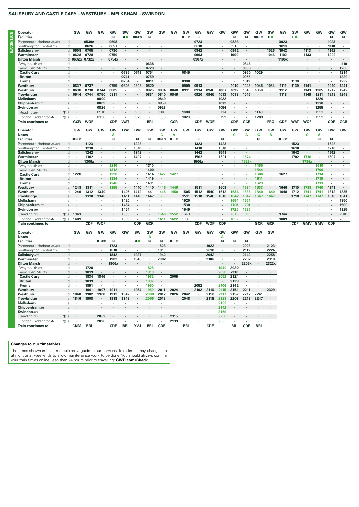# **SALISBURY AND CASTLE CARY – WESTBURY – MELKSHAM – SWINDON**

| Operator                    |                  | GW                   | GW           | GW                       | GW           | sw                       | GW                       | GW            | GW           | GW      | GW             | GW             | GW                   | GW                   | GW           | GW           | GW         | SW         | GW                   | SW         | GW                       | GW                   | GW         | GW         |
|-----------------------------|------------------|----------------------|--------------|--------------------------|--------------|--------------------------|--------------------------|---------------|--------------|---------|----------------|----------------|----------------------|----------------------|--------------|--------------|------------|------------|----------------------|------------|--------------------------|----------------------|------------|------------|
| <b>Facilities</b>           |                  |                      |              |                          | R            | 10                       | ■⊓ਨ                      | B             |              |         | ∎⊟ਨ            | $\mathbb B$    |                      |                      | Π            | B            | ∎в≂        | 10         | R                    | 10         |                          |                      | B          | R          |
| Portsmouth Harbour          | d                |                      | 0539e        | $\cdot$                  | 0608         |                          |                          |               |              |         |                | 0723           |                      | $\cdot$              | 0823         |              |            |            | 0923                 |            |                          |                      | 1023       | $\cdot$    |
| Southampton Central         | d                | $\ddot{\phantom{a}}$ | 0626         |                          | 0657         |                          |                          |               |              |         |                | 0810           |                      |                      | 0910         |              |            |            | 1010                 |            |                          |                      | 1110       | $\cdot$    |
| Salisbury 2                 | $\sf d$          | 0608                 | 0705         | $\cdot$                  | 0730         | $\overline{\phantom{a}}$ |                          |               |              |         |                | 0842           | $\ddot{\phantom{0}}$ |                      | 0942         | $\cdot$      |            | 1026       | 1042                 |            | 1113                     | $\cdot$              | 1142       | $\cdot$    |
| Warminster                  | d                | 0628                 | 0728         | $\cdot$                  | 0750         |                          |                          |               |              |         |                | 0903           |                      | $\cdot$              | 1002         | $\cdot$      | ä,         | 1046       | 1102                 | $\cdot$    | 1133                     | $\cdot$              | 1202       | $\cdot$    |
| <b>Dilton Marsh</b>         | d                | 0632x                | 0732x        |                          | 0754x        |                          |                          |               |              |         |                | 0907x          |                      |                      |              |              |            | $\cdot$    | 1106x                |            | $\overline{\phantom{a}}$ |                      |            |            |
| Weymouth s                  | d                | ٠                    | ٠            | $\cdot$                  |              | $\cdot$                  | ٠                        | 0638          |              |         | ٠              | $\blacksquare$ | $\cdot$              | $\blacksquare$       | $\cdot$      | 0846         | $\cdot$    | $\cdot$    | ٠                    | $\cdot$    | $\cdot$                  | $\cdot$              | ×.         | 1110       |
| Yeovil Pen Mill             | d                |                      |              |                          |              |                          |                          | 0729          |              |         |                |                |                      |                      |              | 0936         |            |            |                      |            |                          |                      |            | 1200       |
| <b>Castle Cary</b>          | d                |                      |              | $\lambda$                | $\cdot$      | 0736                     | 0749                     | 0754          | $\cdot$      | ÷       | 0845           | ÷.             |                      | $\ddot{\phantom{a}}$ |              | 0950         | 1029       | $\cdot$    | ï                    |            |                          | $\ddot{\phantom{a}}$ | $\cdot$    | 1214       |
| <b>Bruton</b>               | d                |                      |              |                          |              | 0741                     |                          | 0759          |              |         |                |                |                      |                      |              | 0955         | $\cdot$    |            |                      |            |                          |                      |            | 1220       |
| Frome                       | d                |                      | $\cdot$      |                          | $\cdot$      | 0754                     | $\cdot$                  | 0811          | $\cdot$      | $\cdot$ | 0900           | $\cdot$        | $\cdot$              | $\cdot$              |              | 1012         | $\cdot$    | $\cdot$    | $\cdot$              | 1130       | $\cdot$                  | $\cdot$              | $\cdot$    | 1232       |
| Westbury                    | a                | 0637                 | 0737         |                          | 0759         | 0803                     | 0808                     | 0820          |              |         | 0909           | 0913           |                      |                      | 1010         | 1023         | 1048       | 1054       | 1111                 | 1139       | 1141                     |                      | 1210       | 1241       |
| Westbury                    | d                | 0638                 | 0738         | 0744                     | 0805         | $\cdot$                  | 0809                     | 0825          | 0834         | 0840    | 0911           | 0914           | 0940                 | 1007                 | 1012         | 1040         | 1050       |            | 1112                 |            | 1143                     | 1205                 | 1212       | 1242       |
| <b>Trowbridge</b>           | a                | 0644                 | 0744         | 0750                     | 0811         |                          |                          | 0831          | 0840         | 0846    |                | 0920           | 0946                 | 1013                 | 1018         | 1046         |            |            | 1118                 |            | 1149                     | 1211                 | 1218       | 1248       |
|                             |                  |                      |              |                          |              |                          |                          |               |              |         |                |                |                      |                      |              |              |            |            |                      |            |                          |                      |            |            |
| <b>Melksham</b>             | $\overline{a}$   |                      |              | 0800                     | $\cdot$      |                          |                          |               | 0849         | ٠       |                |                |                      | 1022                 |              |              | ä,         |            |                      |            |                          | 1220                 |            |            |
| Chippenham $\equiv$         | a                |                      |              | 0809                     |              |                          |                          |               | 0859         |         |                |                |                      | 1032                 |              |              |            |            |                      |            |                          | 1230                 |            |            |
| Swindon =                   | a                |                      |              | 0826                     |              |                          |                          |               | 0923         |         |                |                |                      | 1054                 |              |              |            |            |                      |            |                          | 1255                 |            | ï          |
| Reading s                   | $\circledcirc$ a |                      |              | 0910                     | $\cdot$      |                          | 0903                     | $\cdot$       | 1010         | $\cdot$ | 1000           | $\cdot$        |                      | 1134                 | $\cdot$      |              | 1143       | $\cdot$    |                      |            |                          | 1333                 | ÷,         |            |
| London Paddington $\bullet$ | ⑮ a              |                      |              | 0936                     |              |                          | 0929                     | i,            | 1036         |         | 1029           |                |                      | 1159                 |              |              | 1209       |            |                      |            |                          | 1359                 |            |            |
| <b>Train continues to</b>   |                  | <b>GCR</b>           | <b>WOF</b>   |                          | CDF          | <b>WAT</b>               |                          | <b>BRI</b>    |              | GCR     |                | <b>CDF</b>     | <b>WOF</b>           |                      | CDF          | GCR          |            | <b>FRO</b> | CDF                  | <b>WAT</b> | <b>WOF</b>               |                      | <b>CDF</b> | <b>GCR</b> |
|                             |                  |                      |              |                          |              |                          |                          |               |              |         |                |                |                      |                      |              |              |            |            |                      |            |                          |                      |            |            |
| Operator                    |                  | GW                   | GW           | GW                       | GW           | GW                       | GW                       | GW            | GW           | GW      | GW             | GW             | GW                   | GW                   | GW           | GW           | GW         | GW         | GW                   | GW         | GW                       | GW                   | GW         | GW         |
| <b>Notes</b>                |                  |                      |              |                          | Α            |                          |                          |               | C            | Α       |                |                |                      |                      | C            | Α            | C          | A          |                      |            | C                        | А                    |            |            |
| <b>Facilities</b>           |                  | ∎в≂                  | R            |                          | R            |                          | B                        | B             | ■日美          | ■⊓≂     |                | R              |                      | R                    |              |              | R          |            | ■B₩                  | B          |                          | B                    | B          |            |
| Portsmouth Harbour          | d                |                      | 1123         |                          |              |                          | 1223                     |               |              |         |                | 1323           |                      | 1423                 |              |              |            |            |                      | 1523       |                          |                      | 1623       |            |
| Southampton Central         | d                |                      | 1210         |                          |              |                          | 1310                     |               |              |         |                | 1410           |                      | 1510                 |              |              |            |            |                      | 1610       |                          |                      | 1710       |            |
| Salisbury s                 | d                | $\cdot$              | 1242         |                          | ×            | $\epsilon$               | 1342                     | $\cdot$       |              |         | $\blacksquare$ | 1442           | $\cdot$              | 1541                 |              |              | ×          |            | ×,                   | 1642       | ×                        | ×                    | 1742       | $\cdot$    |
| Warminster                  | d                | $\cdot$              | 1302         | $\cdot$                  | $\sim$       | $\cdot$                  | 1402                     | $\cdot$       |              |         | $\cdot$        | 1502           | $\cdot$              | 1601                 | ч.           | 1624         | ×          | ٠          | $\ddot{\phantom{a}}$ | 1702       | 1730                     | ×.                   | 1802       | $\cdot$    |
| <b>Dilton Marsh</b>         | d                |                      | 1306x        |                          |              |                          |                          |               |              |         |                | 1506x          |                      |                      |              | 1628x        |            |            |                      |            | 1734x                    |                      |            |            |
| Weymouth s                  | d                | $\cdot$              | $\cdot$      | $\sim$                   | 1210         | $\cdot$                  | $\cdot$                  | 1310          | ÷.           | ×       | $\cdot$        | $\cdot$        | $\ddot{\phantom{a}}$ | $\cdot$              | $\mathbf{r}$ | $\sim$       | 1455       | ×          | $\ddot{\phantom{a}}$ | $\cdot$    | ×.                       | 1610                 | $\cdot$    | $\cdot$    |
| Yeovil Pen Mill             | d                |                      |              |                          | 1312         |                          |                          | 1400          |              |         |                |                |                      |                      |              |              | 1544       | ä,         |                      |            |                          | 1700                 |            |            |
| <b>Castle Cary</b>          | d                | 1228                 | $\cdot$      |                          | 1328         | ¥,                       |                          | 1414          | 1427         | 1427    | ı,             |                | ï                    |                      |              | ×            | 1606       | ¥          | 1627                 |            |                          | 1714                 |            |            |
| <b>Bruton</b>               | d                |                      |              |                          | 1334         |                          |                          | 1419          |              |         |                |                |                      |                      |              |              | 1611       |            |                      |            |                          | 1719                 |            |            |
| Frome                       | d                |                      |              |                          | 1346         |                          |                          | 1431          |              |         |                |                |                      |                      |              |              | 1623       | ¥          |                      |            |                          | 1731                 |            | ï          |
|                             |                  |                      |              |                          |              |                          |                          |               |              |         |                |                |                      |                      |              |              |            |            |                      |            |                          |                      |            | l.         |
| Westbury                    | a                | 1248                 | 1311         |                          | 1355         |                          | 1410                     | 1440          | 1446         | 1446    |                | 1511           |                      | 1609                 |              | 1634         | 1633       |            | 1646                 | 1710       | 1739                     | 1740                 | 1811       |            |
| Westburv                    | d                | 1249                 | 1312         | 1340                     | ×            | 1405                     | 1412                     | 1441          | 1448         | 1450    | 1505           | 1512           | 1540                 | 1612                 | 1636         | 1636         | 1640       | 1640       | 1648                 | 1712       | 1741                     | 1741                 | 1812       | 1835       |
| <b>Trowbridge</b>           | a                |                      | 1318         | 1346                     |              | 1411                     | 1418                     | 1447          |              |         | 1511           | 1518           | 1546                 | 1618                 | 1642         | 1642         | 1647       | 1647       |                      | 1718       | 1747                     | 1747                 | 1818       | 1841       |
| Melksham                    | a                | $\cdot$              |              |                          | ×.           | 1420                     | $\cdot$                  |               |              |         | 1520           |                |                      |                      | 1651         | 1651         | ×          |            |                      |            |                          |                      |            | 1850       |
| Chippenham $\equiv$         | a                |                      |              |                          |              | 1434                     |                          |               |              |         | 1530           |                |                      |                      | 1701         | 1701         |            |            |                      |            |                          |                      |            | 1900       |
| Swindon =                   | a                |                      |              |                          |              | 1454                     |                          |               |              |         | 1549           |                |                      |                      | 1725         | 1725         | ×          |            |                      |            |                          |                      |            | 1925       |
| Reading                     | $\circledcirc$ a | 1343                 |              |                          |              | 1533                     | $\cdot$                  |               | 1546         | 1552    | 1640           |                |                      |                      | 1810         | 1810         | ¥.         | ä,         | 1744                 |            |                          |                      |            | 2010       |
| London Paddington $\bullet$ | ⑮ a              | 1409                 |              |                          |              | 1559                     | $\cdot$                  | $\cdot$       | 1611         | 1622    | 1707           |                |                      | $\cdot$              | 1837         | 1837         | ×.         | ٠          | 1809                 |            |                          |                      |            | 2035       |
| Train continues to          |                  |                      | <b>CDF</b>   | <b>WOF</b>               |              |                          | CDF                      | GCR           |              |         |                | <b>CDF</b>     | WOF                  | <b>CDF</b>           |              |              | <b>GCR</b> | GCR        |                      | CDF        | <b>GMV</b>               | <b>GMV</b>           | <b>CDF</b> |            |
|                             |                  |                      |              |                          |              |                          |                          |               |              |         |                |                |                      |                      |              |              |            |            |                      |            |                          |                      |            |            |
| Operator                    |                  | GW                   | GW           | GW                       | GW           | GW                       | SW                       | GW            | <b>GW</b>    | GW      | GW             | GW             | GW                   | GW                   | <b>GW</b>    | GW           | GW         | GW         |                      |            |                          |                      |            |            |
| <b>Notes</b>                |                  |                      |              |                          |              |                          |                          | А             |              |         |                |                |                      | А                    |              |              |            |            |                      |            |                          |                      |            |            |
| <b>Facilities</b>           |                  |                      | $\mathbb{R}$ | ∎⊡ਨ                      | $\mathbb{R}$ |                          | 10                       | $\boxtimes$   | $\mathbb{R}$ | ∎⊡ਨ     |                |                | R                    | $\boxdot$            | $\mathbb{R}$ | $\mathbb{R}$ |            |            |                      |            |                          |                      |            |            |
| Portsmouth Harbour          | d                |                      |              |                          | 1723         |                          |                          |               | 1823         |         |                |                | 1923                 | ٠                    |              | 2023         |            | 2123       |                      |            |                          |                      |            |            |
| Southampton Central         | d                |                      |              |                          | 1810         |                          |                          | ×.            | 1910         |         |                |                | 2010                 | ¥.                   |              | 2112         | ä,         | 2224       |                      |            |                          |                      |            |            |
| Salisbury =                 | $\sf d$          | $\ddot{\phantom{0}}$ |              |                          | 1842         | $\cdot$                  | 1927                     | $\mathcal{L}$ | 1942         |         |                | $\cdot$        | 2042                 | $\mathcal{L}$        | $\lambda$    | 2142         | $\cdot$    | 2258       |                      |            |                          |                      |            |            |
| Warminster                  | d                |                      |              |                          | 1902         | ٠                        | 1946                     | ¥,            | 2002         |         |                | ٠              | 2102                 | ×                    |              | 2202         | $\cdot$    | 2318       |                      |            |                          |                      |            |            |
|                             |                  |                      | $\cdot$      |                          |              |                          |                          |               |              |         |                |                |                      |                      |              |              |            |            |                      |            |                          |                      |            |            |
| <b>Dilton Marsh</b>         | d                |                      |              |                          | 1906x        | ٠                        | $\cdot$<br>ä,            |               |              |         |                | ł.             | ł,                   |                      |              | 2206x        | $\cdot$    | 2322x      |                      |            |                          |                      |            |            |
| Weymouth s                  | d                |                      | 1728         | $\cdot$                  |              |                          |                          | 1828          | ¥            |         |                |                |                      | 1940                 | 2020         |              |            |            |                      |            |                          |                      |            |            |
| Yeovil Pen Mill             | d                |                      | 1819         |                          |              |                          |                          | 1918          |              |         |                |                |                      | 2038                 | 2110         |              |            |            |                      |            |                          |                      |            |            |
| <b>Castle Cary</b>          | d                | i,                   | 1834         | 1846                     | $\epsilon$   | $\epsilon$               | ä,                       | 1932          | $\cdot$      | 2005    | $\cdot$        | ä,             | i,                   | 2052                 | 2124         | $\cdot$      | à.         |            |                      |            |                          |                      |            |            |
| <b>Bruton</b>               | d                |                      | 1839         |                          |              |                          |                          | 1937          |              |         |                |                |                      |                      | 2129         |              |            |            |                      |            |                          |                      |            |            |
| Frome                       | d                | $\cdot$              | 1851         | $\overline{\phantom{a}}$ | $\cdot$      | $\cdot$                  | $\overline{\phantom{a}}$ | 1950          | $\cdot$      | $\cdot$ | $\cdot$        | 2052           |                      | 2106                 | 2142         | $\cdot$      | $\cdot$    |            |                      |            |                          |                      |            |            |
| Westbury                    | $\overline{a}$   |                      | 1901         | 1907                     | 1911         |                          | 1954                     | 1959          | 2011         | 2024    |                | 2102           | 2110                 | 2115                 | 2151         | 2211         |            | 2329       |                      |            |                          |                      |            |            |
| Westbury                    | d                | 1840                 | 1902         | 1908                     | 1912         | 1942                     | $\ddot{\phantom{a}}$     | 2000          | 2012         | 2026    | 2042           | $\cdot$        | 2112                 | 2117                 | 2157         | 2212         | 2241       | $\cdot$    |                      |            |                          |                      |            |            |
| <b>Trowbridge</b>           | a                | 1846                 | 1908         |                          | 1918         | 1948                     |                          | 2006          | 2018         |         | 2048           |                | 2118                 | 2123                 | 2203         | 2218         | 2247       |            |                      |            |                          |                      |            |            |
| Melksham                    | a                |                      |              | $\ddot{\phantom{a}}$     |              |                          | ×,                       |               |              |         |                | ×,             |                      | 2132                 |              |              |            |            |                      |            |                          |                      |            |            |
| Chippenham $\equiv$         | a                |                      |              |                          |              |                          |                          |               |              |         |                |                |                      | 2142                 |              |              |            |            |                      |            |                          |                      |            |            |
| Swindon =                   | a                |                      |              |                          |              |                          |                          |               |              |         |                |                |                      | 2159                 |              |              |            |            |                      |            |                          |                      |            |            |
|                             |                  |                      |              |                          |              |                          |                          |               |              |         |                |                |                      |                      |              |              |            |            |                      |            |                          |                      |            |            |
| Reading s                   | $\circledD$<br>a |                      |              | 2002                     |              |                          |                          |               |              | 2115    |                |                |                      | 2236                 |              |              |            |            |                      |            |                          |                      |            |            |

# **Train continues to CNM BRI CDF BRI YVJ BRI CDF BRI CDF BRI CDF BRI**

**Changes to our timetables**

The times shown in this timetable are a guide to our services. Train times may change late<br>at night or at weekends to allow maintenance work to be done. You should always confirm<br>your train times online, less than 24 hours

**London Paddington**  $\bullet$  6 a **· · · 2026** · · · · · · · · **2139** · · · · · · 2305 · · · · · ·